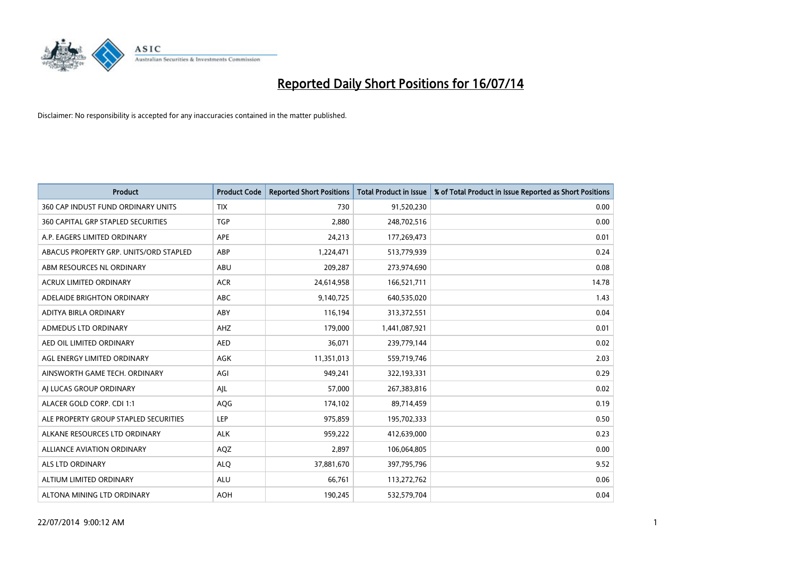

| Product                                | <b>Product Code</b> | <b>Reported Short Positions</b> | <b>Total Product in Issue</b> | % of Total Product in Issue Reported as Short Positions |
|----------------------------------------|---------------------|---------------------------------|-------------------------------|---------------------------------------------------------|
| 360 CAP INDUST FUND ORDINARY UNITS     | <b>TIX</b>          | 730                             | 91,520,230                    | 0.00                                                    |
| 360 CAPITAL GRP STAPLED SECURITIES     | <b>TGP</b>          | 2,880                           | 248,702,516                   | 0.00                                                    |
| A.P. EAGERS LIMITED ORDINARY           | APE                 | 24,213                          | 177,269,473                   | 0.01                                                    |
| ABACUS PROPERTY GRP. UNITS/ORD STAPLED | ABP                 | 1,224,471                       | 513,779,939                   | 0.24                                                    |
| ABM RESOURCES NL ORDINARY              | ABU                 | 209,287                         | 273,974,690                   | 0.08                                                    |
| <b>ACRUX LIMITED ORDINARY</b>          | <b>ACR</b>          | 24,614,958                      | 166,521,711                   | 14.78                                                   |
| ADELAIDE BRIGHTON ORDINARY             | ABC                 | 9,140,725                       | 640,535,020                   | 1.43                                                    |
| ADITYA BIRLA ORDINARY                  | ABY                 | 116,194                         | 313,372,551                   | 0.04                                                    |
| ADMEDUS LTD ORDINARY                   | AHZ                 | 179,000                         | 1,441,087,921                 | 0.01                                                    |
| AED OIL LIMITED ORDINARY               | <b>AED</b>          | 36,071                          | 239,779,144                   | 0.02                                                    |
| AGL ENERGY LIMITED ORDINARY            | AGK                 | 11,351,013                      | 559,719,746                   | 2.03                                                    |
| AINSWORTH GAME TECH. ORDINARY          | AGI                 | 949,241                         | 322,193,331                   | 0.29                                                    |
| AI LUCAS GROUP ORDINARY                | AJL                 | 57,000                          | 267,383,816                   | 0.02                                                    |
| ALACER GOLD CORP. CDI 1:1              | <b>AQG</b>          | 174,102                         | 89,714,459                    | 0.19                                                    |
| ALE PROPERTY GROUP STAPLED SECURITIES  | <b>LEP</b>          | 975,859                         | 195,702,333                   | 0.50                                                    |
| ALKANE RESOURCES LTD ORDINARY          | <b>ALK</b>          | 959,222                         | 412,639,000                   | 0.23                                                    |
| ALLIANCE AVIATION ORDINARY             | AQZ                 | 2,897                           | 106,064,805                   | 0.00                                                    |
| <b>ALS LTD ORDINARY</b>                | <b>ALQ</b>          | 37,881,670                      | 397,795,796                   | 9.52                                                    |
| ALTIUM LIMITED ORDINARY                | <b>ALU</b>          | 66,761                          | 113,272,762                   | 0.06                                                    |
| ALTONA MINING LTD ORDINARY             | <b>AOH</b>          | 190,245                         | 532,579,704                   | 0.04                                                    |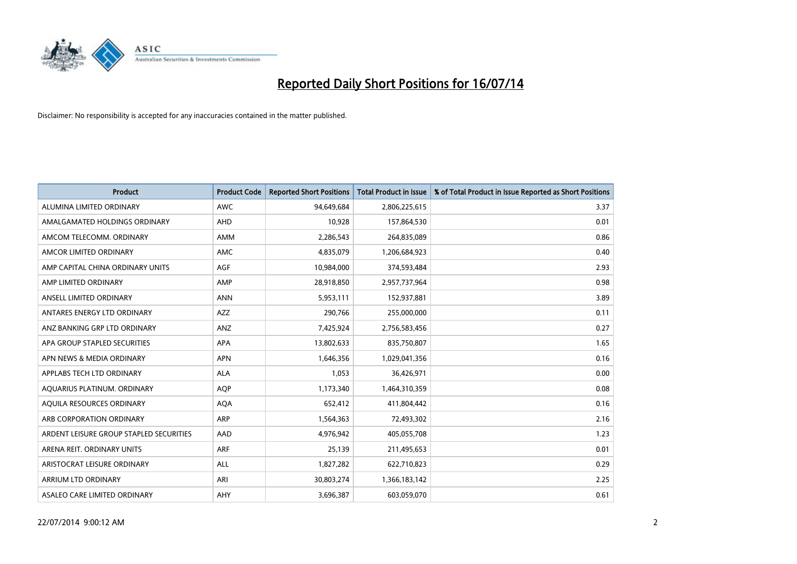

| <b>Product</b>                          | <b>Product Code</b> | <b>Reported Short Positions</b> | Total Product in Issue | % of Total Product in Issue Reported as Short Positions |
|-----------------------------------------|---------------------|---------------------------------|------------------------|---------------------------------------------------------|
| ALUMINA LIMITED ORDINARY                | <b>AWC</b>          | 94,649,684                      | 2,806,225,615          | 3.37                                                    |
| AMALGAMATED HOLDINGS ORDINARY           | <b>AHD</b>          | 10,928                          | 157,864,530            | 0.01                                                    |
| AMCOM TELECOMM. ORDINARY                | <b>AMM</b>          | 2,286,543                       | 264,835,089            | 0.86                                                    |
| AMCOR LIMITED ORDINARY                  | AMC                 | 4,835,079                       | 1,206,684,923          | 0.40                                                    |
| AMP CAPITAL CHINA ORDINARY UNITS        | AGF                 | 10,984,000                      | 374,593,484            | 2.93                                                    |
| AMP LIMITED ORDINARY                    | AMP                 | 28,918,850                      | 2,957,737,964          | 0.98                                                    |
| ANSELL LIMITED ORDINARY                 | <b>ANN</b>          | 5,953,111                       | 152,937,881            | 3.89                                                    |
| ANTARES ENERGY LTD ORDINARY             | <b>AZZ</b>          | 290,766                         | 255,000,000            | 0.11                                                    |
| ANZ BANKING GRP LTD ORDINARY            | ANZ                 | 7,425,924                       | 2,756,583,456          | 0.27                                                    |
| APA GROUP STAPLED SECURITIES            | <b>APA</b>          | 13,802,633                      | 835,750,807            | 1.65                                                    |
| APN NEWS & MEDIA ORDINARY               | <b>APN</b>          | 1,646,356                       | 1,029,041,356          | 0.16                                                    |
| APPLABS TECH LTD ORDINARY               | <b>ALA</b>          | 1,053                           | 36,426,971             | 0.00                                                    |
| AQUARIUS PLATINUM. ORDINARY             | <b>AQP</b>          | 1,173,340                       | 1,464,310,359          | 0.08                                                    |
| AOUILA RESOURCES ORDINARY               | <b>AQA</b>          | 652,412                         | 411,804,442            | 0.16                                                    |
| ARB CORPORATION ORDINARY                | ARP                 | 1,564,363                       | 72,493,302             | 2.16                                                    |
| ARDENT LEISURE GROUP STAPLED SECURITIES | <b>AAD</b>          | 4,976,942                       | 405,055,708            | 1.23                                                    |
| ARENA REIT. ORDINARY UNITS              | <b>ARF</b>          | 25,139                          | 211,495,653            | 0.01                                                    |
| ARISTOCRAT LEISURE ORDINARY             | ALL                 | 1,827,282                       | 622,710,823            | 0.29                                                    |
| ARRIUM LTD ORDINARY                     | ARI                 | 30,803,274                      | 1,366,183,142          | 2.25                                                    |
| ASALEO CARE LIMITED ORDINARY            | AHY                 | 3,696,387                       | 603,059,070            | 0.61                                                    |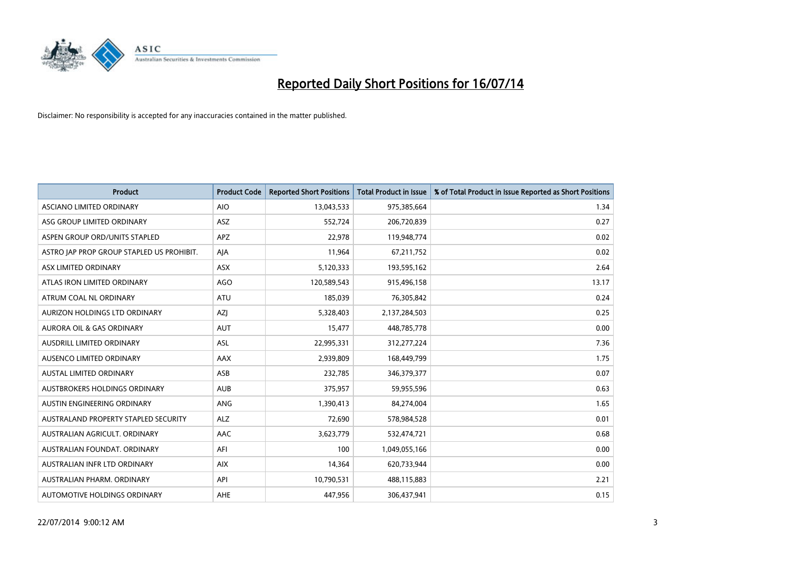

| <b>Product</b>                            | <b>Product Code</b> | <b>Reported Short Positions</b> | <b>Total Product in Issue</b> | % of Total Product in Issue Reported as Short Positions |
|-------------------------------------------|---------------------|---------------------------------|-------------------------------|---------------------------------------------------------|
| ASCIANO LIMITED ORDINARY                  | <b>AIO</b>          | 13,043,533                      | 975,385,664                   | 1.34                                                    |
| ASG GROUP LIMITED ORDINARY                | ASZ                 | 552,724                         | 206,720,839                   | 0.27                                                    |
| ASPEN GROUP ORD/UNITS STAPLED             | <b>APZ</b>          | 22,978                          | 119,948,774                   | 0.02                                                    |
| ASTRO JAP PROP GROUP STAPLED US PROHIBIT. | AJA                 | 11,964                          | 67,211,752                    | 0.02                                                    |
| ASX LIMITED ORDINARY                      | ASX                 | 5,120,333                       | 193,595,162                   | 2.64                                                    |
| ATLAS IRON LIMITED ORDINARY               | <b>AGO</b>          | 120,589,543                     | 915,496,158                   | 13.17                                                   |
| ATRUM COAL NL ORDINARY                    | <b>ATU</b>          | 185,039                         | 76,305,842                    | 0.24                                                    |
| AURIZON HOLDINGS LTD ORDINARY             | AZJ                 | 5,328,403                       | 2,137,284,503                 | 0.25                                                    |
| <b>AURORA OIL &amp; GAS ORDINARY</b>      | <b>AUT</b>          | 15,477                          | 448,785,778                   | 0.00                                                    |
| AUSDRILL LIMITED ORDINARY                 | <b>ASL</b>          | 22,995,331                      | 312,277,224                   | 7.36                                                    |
| AUSENCO LIMITED ORDINARY                  | AAX                 | 2,939,809                       | 168,449,799                   | 1.75                                                    |
| <b>AUSTAL LIMITED ORDINARY</b>            | ASB                 | 232,785                         | 346,379,377                   | 0.07                                                    |
| AUSTBROKERS HOLDINGS ORDINARY             | <b>AUB</b>          | 375,957                         | 59,955,596                    | 0.63                                                    |
| AUSTIN ENGINEERING ORDINARY               | ANG                 | 1,390,413                       | 84,274,004                    | 1.65                                                    |
| AUSTRALAND PROPERTY STAPLED SECURITY      | <b>ALZ</b>          | 72,690                          | 578,984,528                   | 0.01                                                    |
| AUSTRALIAN AGRICULT. ORDINARY             | AAC                 | 3,623,779                       | 532,474,721                   | 0.68                                                    |
| AUSTRALIAN FOUNDAT. ORDINARY              | AFI                 | 100                             | 1,049,055,166                 | 0.00                                                    |
| AUSTRALIAN INFR LTD ORDINARY              | <b>AIX</b>          | 14,364                          | 620,733,944                   | 0.00                                                    |
| AUSTRALIAN PHARM, ORDINARY                | API                 | 10,790,531                      | 488,115,883                   | 2.21                                                    |
| AUTOMOTIVE HOLDINGS ORDINARY              | <b>AHE</b>          | 447,956                         | 306,437,941                   | 0.15                                                    |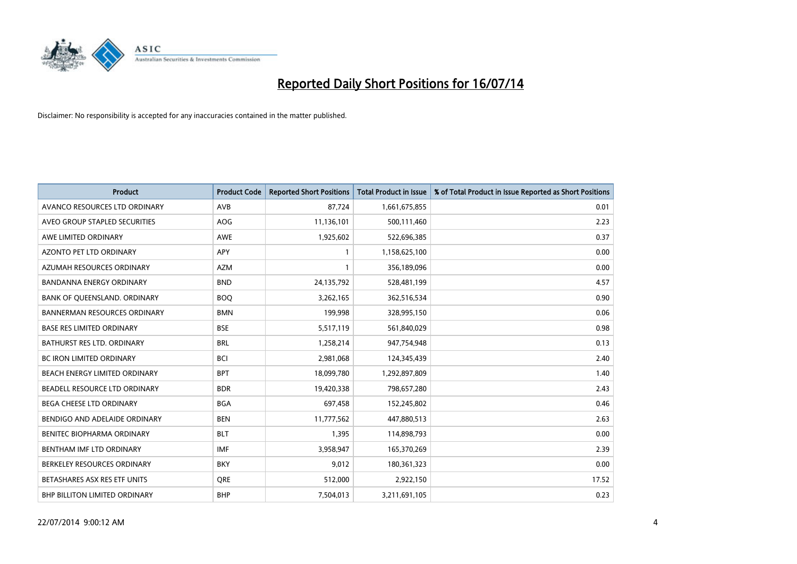

| <b>Product</b>                      | <b>Product Code</b> | <b>Reported Short Positions</b> | <b>Total Product in Issue</b> | % of Total Product in Issue Reported as Short Positions |
|-------------------------------------|---------------------|---------------------------------|-------------------------------|---------------------------------------------------------|
| AVANCO RESOURCES LTD ORDINARY       | AVB                 | 87,724                          | 1,661,675,855                 | 0.01                                                    |
| AVEO GROUP STAPLED SECURITIES       | AOG                 | 11,136,101                      | 500,111,460                   | 2.23                                                    |
| AWE LIMITED ORDINARY                | AWE                 | 1,925,602                       | 522,696,385                   | 0.37                                                    |
| AZONTO PET LTD ORDINARY             | APY                 | 1                               | 1,158,625,100                 | 0.00                                                    |
| AZUMAH RESOURCES ORDINARY           | <b>AZM</b>          | 1                               | 356,189,096                   | 0.00                                                    |
| <b>BANDANNA ENERGY ORDINARY</b>     | <b>BND</b>          | 24,135,792                      | 528,481,199                   | 4.57                                                    |
| BANK OF QUEENSLAND. ORDINARY        | <b>BOO</b>          | 3,262,165                       | 362,516,534                   | 0.90                                                    |
| <b>BANNERMAN RESOURCES ORDINARY</b> | <b>BMN</b>          | 199,998                         | 328,995,150                   | 0.06                                                    |
| <b>BASE RES LIMITED ORDINARY</b>    | <b>BSE</b>          | 5,517,119                       | 561,840,029                   | 0.98                                                    |
| <b>BATHURST RES LTD. ORDINARY</b>   | <b>BRL</b>          | 1,258,214                       | 947,754,948                   | 0.13                                                    |
| BC IRON LIMITED ORDINARY            | <b>BCI</b>          | 2,981,068                       | 124,345,439                   | 2.40                                                    |
| BEACH ENERGY LIMITED ORDINARY       | <b>BPT</b>          | 18,099,780                      | 1,292,897,809                 | 1.40                                                    |
| BEADELL RESOURCE LTD ORDINARY       | <b>BDR</b>          | 19,420,338                      | 798,657,280                   | 2.43                                                    |
| <b>BEGA CHEESE LTD ORDINARY</b>     | <b>BGA</b>          | 697,458                         | 152,245,802                   | 0.46                                                    |
| BENDIGO AND ADELAIDE ORDINARY       | <b>BEN</b>          | 11,777,562                      | 447,880,513                   | 2.63                                                    |
| BENITEC BIOPHARMA ORDINARY          | <b>BLT</b>          | 1,395                           | 114,898,793                   | 0.00                                                    |
| BENTHAM IMF LTD ORDINARY            | IMF                 | 3,958,947                       | 165,370,269                   | 2.39                                                    |
| BERKELEY RESOURCES ORDINARY         | <b>BKY</b>          | 9,012                           | 180,361,323                   | 0.00                                                    |
| BETASHARES ASX RES ETF UNITS        | <b>ORE</b>          | 512,000                         | 2,922,150                     | 17.52                                                   |
| BHP BILLITON LIMITED ORDINARY       | <b>BHP</b>          | 7,504,013                       | 3,211,691,105                 | 0.23                                                    |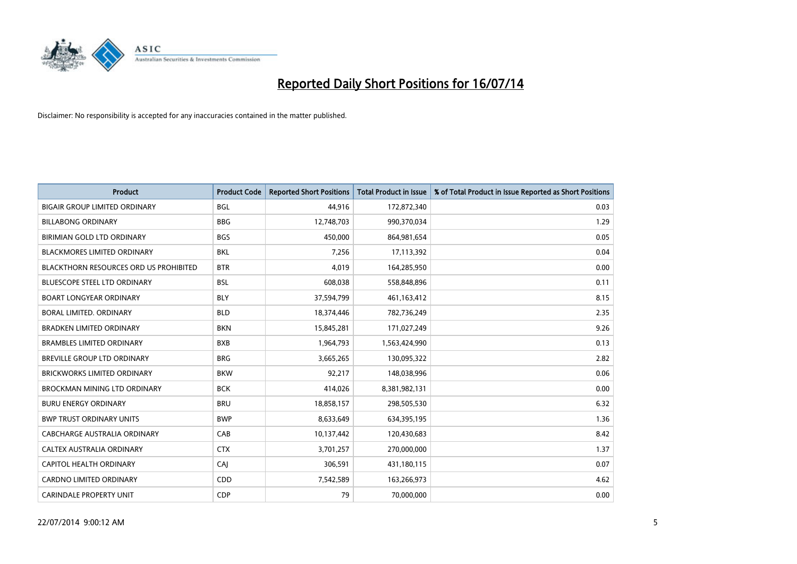

| <b>Product</b>                                | <b>Product Code</b> | <b>Reported Short Positions</b> | <b>Total Product in Issue</b> | % of Total Product in Issue Reported as Short Positions |
|-----------------------------------------------|---------------------|---------------------------------|-------------------------------|---------------------------------------------------------|
| <b>BIGAIR GROUP LIMITED ORDINARY</b>          | <b>BGL</b>          | 44,916                          | 172,872,340                   | 0.03                                                    |
| <b>BILLABONG ORDINARY</b>                     | <b>BBG</b>          | 12,748,703                      | 990,370,034                   | 1.29                                                    |
| BIRIMIAN GOLD LTD ORDINARY                    | <b>BGS</b>          | 450,000                         | 864,981,654                   | 0.05                                                    |
| <b>BLACKMORES LIMITED ORDINARY</b>            | <b>BKL</b>          | 7,256                           | 17,113,392                    | 0.04                                                    |
| <b>BLACKTHORN RESOURCES ORD US PROHIBITED</b> | <b>BTR</b>          | 4,019                           | 164,285,950                   | 0.00                                                    |
| <b>BLUESCOPE STEEL LTD ORDINARY</b>           | <b>BSL</b>          | 608,038                         | 558,848,896                   | 0.11                                                    |
| <b>BOART LONGYEAR ORDINARY</b>                | <b>BLY</b>          | 37,594,799                      | 461,163,412                   | 8.15                                                    |
| BORAL LIMITED, ORDINARY                       | <b>BLD</b>          | 18,374,446                      | 782,736,249                   | 2.35                                                    |
| <b>BRADKEN LIMITED ORDINARY</b>               | <b>BKN</b>          | 15,845,281                      | 171,027,249                   | 9.26                                                    |
| <b>BRAMBLES LIMITED ORDINARY</b>              | <b>BXB</b>          | 1,964,793                       | 1,563,424,990                 | 0.13                                                    |
| BREVILLE GROUP LTD ORDINARY                   | <b>BRG</b>          | 3,665,265                       | 130,095,322                   | 2.82                                                    |
| <b>BRICKWORKS LIMITED ORDINARY</b>            | <b>BKW</b>          | 92,217                          | 148,038,996                   | 0.06                                                    |
| BROCKMAN MINING LTD ORDINARY                  | <b>BCK</b>          | 414,026                         | 8,381,982,131                 | 0.00                                                    |
| <b>BURU ENERGY ORDINARY</b>                   | <b>BRU</b>          | 18,858,157                      | 298,505,530                   | 6.32                                                    |
| <b>BWP TRUST ORDINARY UNITS</b>               | <b>BWP</b>          | 8,633,649                       | 634,395,195                   | 1.36                                                    |
| CABCHARGE AUSTRALIA ORDINARY                  | CAB                 | 10,137,442                      | 120,430,683                   | 8.42                                                    |
| CALTEX AUSTRALIA ORDINARY                     | <b>CTX</b>          | 3,701,257                       | 270,000,000                   | 1.37                                                    |
| CAPITOL HEALTH ORDINARY                       | CAJ                 | 306,591                         | 431,180,115                   | 0.07                                                    |
| <b>CARDNO LIMITED ORDINARY</b>                | CDD                 | 7,542,589                       | 163,266,973                   | 4.62                                                    |
| <b>CARINDALE PROPERTY UNIT</b>                | <b>CDP</b>          | 79                              | 70,000,000                    | 0.00                                                    |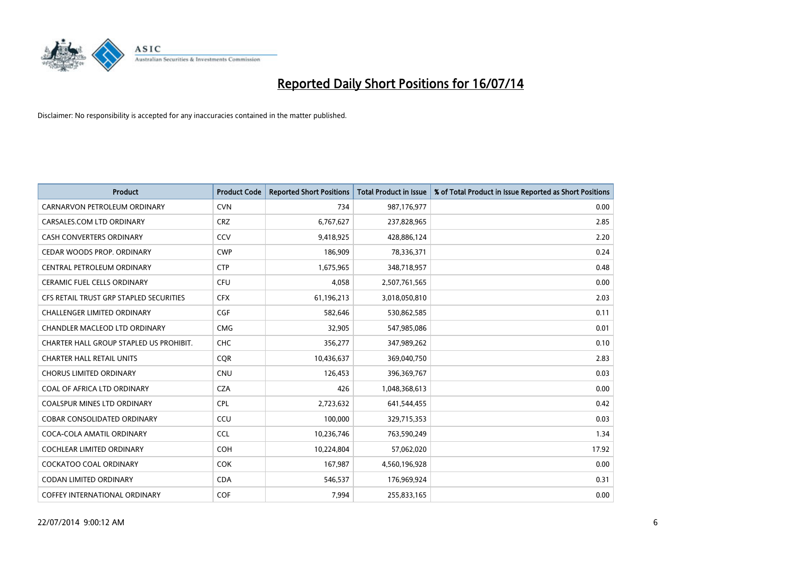

| Product                                 | <b>Product Code</b> | <b>Reported Short Positions</b> | <b>Total Product in Issue</b> | % of Total Product in Issue Reported as Short Positions |
|-----------------------------------------|---------------------|---------------------------------|-------------------------------|---------------------------------------------------------|
| CARNARVON PETROLEUM ORDINARY            | <b>CVN</b>          | 734                             | 987,176,977                   | 0.00                                                    |
| CARSALES.COM LTD ORDINARY               | <b>CRZ</b>          | 6,767,627                       | 237,828,965                   | 2.85                                                    |
| <b>CASH CONVERTERS ORDINARY</b>         | CCV                 | 9,418,925                       | 428,886,124                   | 2.20                                                    |
| CEDAR WOODS PROP. ORDINARY              | <b>CWP</b>          | 186,909                         | 78,336,371                    | 0.24                                                    |
| CENTRAL PETROLEUM ORDINARY              | <b>CTP</b>          | 1,675,965                       | 348,718,957                   | 0.48                                                    |
| <b>CERAMIC FUEL CELLS ORDINARY</b>      | <b>CFU</b>          | 4,058                           | 2,507,761,565                 | 0.00                                                    |
| CFS RETAIL TRUST GRP STAPLED SECURITIES | <b>CFX</b>          | 61,196,213                      | 3,018,050,810                 | 2.03                                                    |
| CHALLENGER LIMITED ORDINARY             | <b>CGF</b>          | 582,646                         | 530,862,585                   | 0.11                                                    |
| CHANDLER MACLEOD LTD ORDINARY           | <b>CMG</b>          | 32,905                          | 547,985,086                   | 0.01                                                    |
| CHARTER HALL GROUP STAPLED US PROHIBIT. | <b>CHC</b>          | 356,277                         | 347,989,262                   | 0.10                                                    |
| <b>CHARTER HALL RETAIL UNITS</b>        | <b>CQR</b>          | 10,436,637                      | 369,040,750                   | 2.83                                                    |
| <b>CHORUS LIMITED ORDINARY</b>          | <b>CNU</b>          | 126,453                         | 396,369,767                   | 0.03                                                    |
| COAL OF AFRICA LTD ORDINARY             | <b>CZA</b>          | 426                             | 1,048,368,613                 | 0.00                                                    |
| <b>COALSPUR MINES LTD ORDINARY</b>      | <b>CPL</b>          | 2,723,632                       | 641,544,455                   | 0.42                                                    |
| <b>COBAR CONSOLIDATED ORDINARY</b>      | CCU                 | 100,000                         | 329,715,353                   | 0.03                                                    |
| COCA-COLA AMATIL ORDINARY               | <b>CCL</b>          | 10,236,746                      | 763,590,249                   | 1.34                                                    |
| COCHLEAR LIMITED ORDINARY               | <b>COH</b>          | 10,224,804                      | 57,062,020                    | 17.92                                                   |
| <b>COCKATOO COAL ORDINARY</b>           | <b>COK</b>          | 167,987                         | 4,560,196,928                 | 0.00                                                    |
| <b>CODAN LIMITED ORDINARY</b>           | <b>CDA</b>          | 546,537                         | 176,969,924                   | 0.31                                                    |
| <b>COFFEY INTERNATIONAL ORDINARY</b>    | <b>COF</b>          | 7,994                           | 255,833,165                   | 0.00                                                    |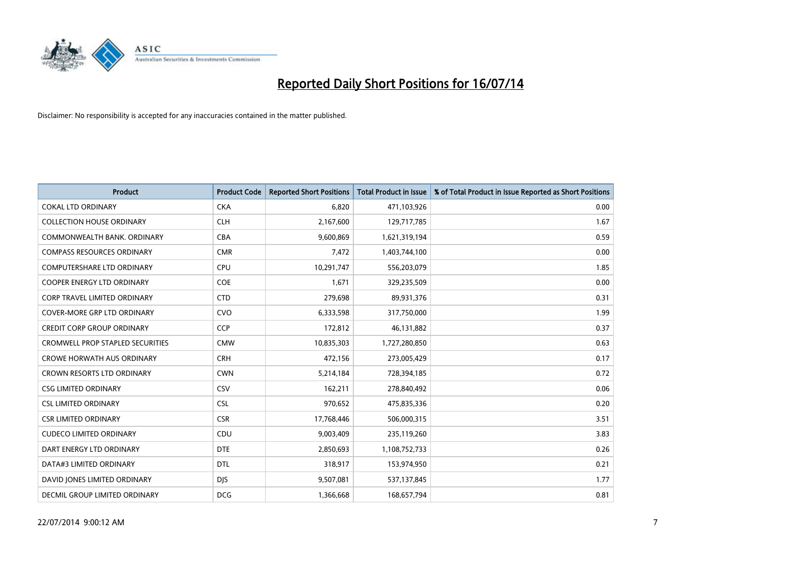

| Product                             | <b>Product Code</b> | <b>Reported Short Positions</b> | <b>Total Product in Issue</b> | % of Total Product in Issue Reported as Short Positions |
|-------------------------------------|---------------------|---------------------------------|-------------------------------|---------------------------------------------------------|
| <b>COKAL LTD ORDINARY</b>           | <b>CKA</b>          | 6,820                           | 471,103,926                   | 0.00                                                    |
| <b>COLLECTION HOUSE ORDINARY</b>    | <b>CLH</b>          | 2,167,600                       | 129,717,785                   | 1.67                                                    |
| COMMONWEALTH BANK, ORDINARY         | <b>CBA</b>          | 9,600,869                       | 1,621,319,194                 | 0.59                                                    |
| <b>COMPASS RESOURCES ORDINARY</b>   | <b>CMR</b>          | 7,472                           | 1,403,744,100                 | 0.00                                                    |
| <b>COMPUTERSHARE LTD ORDINARY</b>   | <b>CPU</b>          | 10,291,747                      | 556,203,079                   | 1.85                                                    |
| <b>COOPER ENERGY LTD ORDINARY</b>   | <b>COE</b>          | 1,671                           | 329,235,509                   | 0.00                                                    |
| <b>CORP TRAVEL LIMITED ORDINARY</b> | <b>CTD</b>          | 279,698                         | 89,931,376                    | 0.31                                                    |
| <b>COVER-MORE GRP LTD ORDINARY</b>  | <b>CVO</b>          | 6,333,598                       | 317,750,000                   | 1.99                                                    |
| <b>CREDIT CORP GROUP ORDINARY</b>   | <b>CCP</b>          | 172,812                         | 46,131,882                    | 0.37                                                    |
| CROMWELL PROP STAPLED SECURITIES    | <b>CMW</b>          | 10,835,303                      | 1,727,280,850                 | 0.63                                                    |
| <b>CROWE HORWATH AUS ORDINARY</b>   | <b>CRH</b>          | 472,156                         | 273,005,429                   | 0.17                                                    |
| <b>CROWN RESORTS LTD ORDINARY</b>   | <b>CWN</b>          | 5,214,184                       | 728,394,185                   | 0.72                                                    |
| <b>CSG LIMITED ORDINARY</b>         | CSV                 | 162,211                         | 278,840,492                   | 0.06                                                    |
| <b>CSL LIMITED ORDINARY</b>         | <b>CSL</b>          | 970,652                         | 475,835,336                   | 0.20                                                    |
| <b>CSR LIMITED ORDINARY</b>         | <b>CSR</b>          | 17,768,446                      | 506,000,315                   | 3.51                                                    |
| <b>CUDECO LIMITED ORDINARY</b>      | CDU                 | 9,003,409                       | 235,119,260                   | 3.83                                                    |
| DART ENERGY LTD ORDINARY            | <b>DTE</b>          | 2,850,693                       | 1,108,752,733                 | 0.26                                                    |
| DATA#3 LIMITED ORDINARY             | <b>DTL</b>          | 318,917                         | 153,974,950                   | 0.21                                                    |
| DAVID JONES LIMITED ORDINARY        | <b>DJS</b>          | 9,507,081                       | 537,137,845                   | 1.77                                                    |
| DECMIL GROUP LIMITED ORDINARY       | <b>DCG</b>          | 1,366,668                       | 168,657,794                   | 0.81                                                    |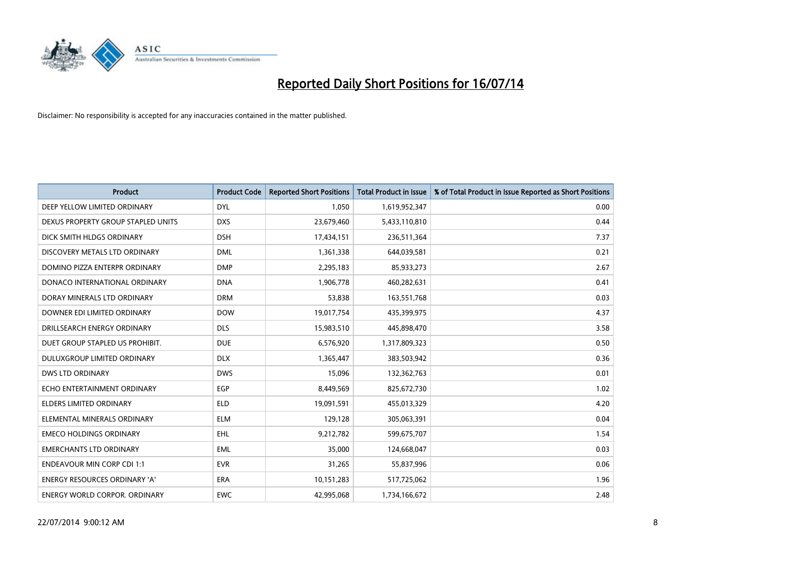

| <b>Product</b>                       | <b>Product Code</b> | <b>Reported Short Positions</b> | <b>Total Product in Issue</b> | % of Total Product in Issue Reported as Short Positions |
|--------------------------------------|---------------------|---------------------------------|-------------------------------|---------------------------------------------------------|
| DEEP YELLOW LIMITED ORDINARY         | <b>DYL</b>          | 1,050                           | 1,619,952,347                 | 0.00                                                    |
| DEXUS PROPERTY GROUP STAPLED UNITS   | <b>DXS</b>          | 23,679,460                      | 5,433,110,810                 | 0.44                                                    |
| DICK SMITH HLDGS ORDINARY            | <b>DSH</b>          | 17,434,151                      | 236,511,364                   | 7.37                                                    |
| DISCOVERY METALS LTD ORDINARY        | <b>DML</b>          | 1,361,338                       | 644,039,581                   | 0.21                                                    |
| DOMINO PIZZA ENTERPR ORDINARY        | <b>DMP</b>          | 2,295,183                       | 85,933,273                    | 2.67                                                    |
| DONACO INTERNATIONAL ORDINARY        | <b>DNA</b>          | 1,906,778                       | 460,282,631                   | 0.41                                                    |
| DORAY MINERALS LTD ORDINARY          | <b>DRM</b>          | 53,838                          | 163,551,768                   | 0.03                                                    |
| DOWNER EDI LIMITED ORDINARY          | <b>DOW</b>          | 19,017,754                      | 435,399,975                   | 4.37                                                    |
| DRILLSEARCH ENERGY ORDINARY          | <b>DLS</b>          | 15,983,510                      | 445,898,470                   | 3.58                                                    |
| DUET GROUP STAPLED US PROHIBIT.      | <b>DUE</b>          | 6,576,920                       | 1,317,809,323                 | 0.50                                                    |
| <b>DULUXGROUP LIMITED ORDINARY</b>   | <b>DLX</b>          | 1,365,447                       | 383,503,942                   | 0.36                                                    |
| <b>DWS LTD ORDINARY</b>              | <b>DWS</b>          | 15,096                          | 132,362,763                   | 0.01                                                    |
| ECHO ENTERTAINMENT ORDINARY          | <b>EGP</b>          | 8,449,569                       | 825,672,730                   | 1.02                                                    |
| <b>ELDERS LIMITED ORDINARY</b>       | <b>ELD</b>          | 19,091,591                      | 455,013,329                   | 4.20                                                    |
| ELEMENTAL MINERALS ORDINARY          | <b>ELM</b>          | 129,128                         | 305,063,391                   | 0.04                                                    |
| <b>EMECO HOLDINGS ORDINARY</b>       | <b>EHL</b>          | 9,212,782                       | 599,675,707                   | 1.54                                                    |
| <b>EMERCHANTS LTD ORDINARY</b>       | <b>EML</b>          | 35,000                          | 124,668,047                   | 0.03                                                    |
| <b>ENDEAVOUR MIN CORP CDI 1:1</b>    | <b>EVR</b>          | 31,265                          | 55,837,996                    | 0.06                                                    |
| <b>ENERGY RESOURCES ORDINARY 'A'</b> | <b>ERA</b>          | 10,151,283                      | 517,725,062                   | 1.96                                                    |
| <b>ENERGY WORLD CORPOR, ORDINARY</b> | <b>EWC</b>          | 42,995,068                      | 1,734,166,672                 | 2.48                                                    |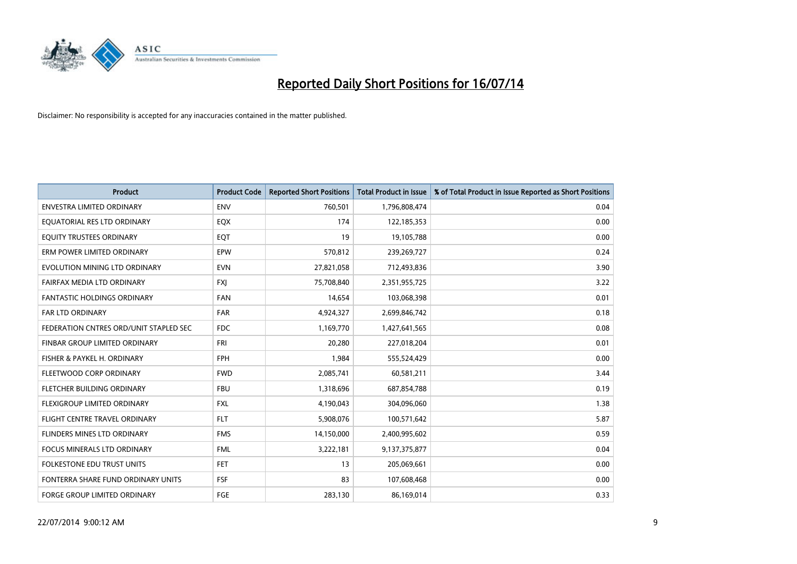

| <b>Product</b>                         | <b>Product Code</b> | <b>Reported Short Positions</b> | <b>Total Product in Issue</b> | % of Total Product in Issue Reported as Short Positions |
|----------------------------------------|---------------------|---------------------------------|-------------------------------|---------------------------------------------------------|
| <b>ENVESTRA LIMITED ORDINARY</b>       | <b>ENV</b>          | 760,501                         | 1,796,808,474                 | 0.04                                                    |
| EQUATORIAL RES LTD ORDINARY            | EQX                 | 174                             | 122,185,353                   | 0.00                                                    |
| EQUITY TRUSTEES ORDINARY               | EQT                 | 19                              | 19,105,788                    | 0.00                                                    |
| ERM POWER LIMITED ORDINARY             | EPW                 | 570,812                         | 239,269,727                   | 0.24                                                    |
| EVOLUTION MINING LTD ORDINARY          | <b>EVN</b>          | 27,821,058                      | 712,493,836                   | 3.90                                                    |
| FAIRFAX MEDIA LTD ORDINARY             | <b>FXI</b>          | 75,708,840                      | 2,351,955,725                 | 3.22                                                    |
| <b>FANTASTIC HOLDINGS ORDINARY</b>     | FAN                 | 14,654                          | 103,068,398                   | 0.01                                                    |
| FAR LTD ORDINARY                       | <b>FAR</b>          | 4,924,327                       | 2,699,846,742                 | 0.18                                                    |
| FEDERATION CNTRES ORD/UNIT STAPLED SEC | <b>FDC</b>          | 1,169,770                       | 1,427,641,565                 | 0.08                                                    |
| FINBAR GROUP LIMITED ORDINARY          | FRI                 | 20,280                          | 227,018,204                   | 0.01                                                    |
| FISHER & PAYKEL H. ORDINARY            | <b>FPH</b>          | 1,984                           | 555,524,429                   | 0.00                                                    |
| FLEETWOOD CORP ORDINARY                | <b>FWD</b>          | 2,085,741                       | 60,581,211                    | 3.44                                                    |
| FLETCHER BUILDING ORDINARY             | <b>FBU</b>          | 1,318,696                       | 687,854,788                   | 0.19                                                    |
| FLEXIGROUP LIMITED ORDINARY            | <b>FXL</b>          | 4,190,043                       | 304,096,060                   | 1.38                                                    |
| FLIGHT CENTRE TRAVEL ORDINARY          | <b>FLT</b>          | 5,908,076                       | 100,571,642                   | 5.87                                                    |
| FLINDERS MINES LTD ORDINARY            | <b>FMS</b>          | 14,150,000                      | 2,400,995,602                 | 0.59                                                    |
| FOCUS MINERALS LTD ORDINARY            | <b>FML</b>          | 3,222,181                       | 9,137,375,877                 | 0.04                                                    |
| FOLKESTONE EDU TRUST UNITS             | <b>FET</b>          | 13                              | 205,069,661                   | 0.00                                                    |
| FONTERRA SHARE FUND ORDINARY UNITS     | <b>FSF</b>          | 83                              | 107,608,468                   | 0.00                                                    |
| <b>FORGE GROUP LIMITED ORDINARY</b>    | FGE                 | 283,130                         | 86,169,014                    | 0.33                                                    |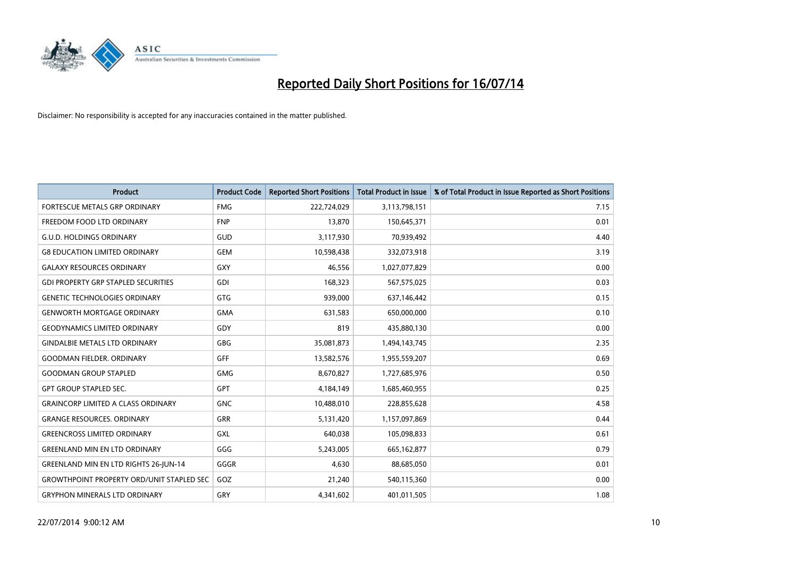

| <b>Product</b>                                   | <b>Product Code</b> | <b>Reported Short Positions</b> | <b>Total Product in Issue</b> | % of Total Product in Issue Reported as Short Positions |
|--------------------------------------------------|---------------------|---------------------------------|-------------------------------|---------------------------------------------------------|
| <b>FORTESCUE METALS GRP ORDINARY</b>             | <b>FMG</b>          | 222,724,029                     | 3,113,798,151                 | 7.15                                                    |
| FREEDOM FOOD LTD ORDINARY                        | <b>FNP</b>          | 13,870                          | 150,645,371                   | 0.01                                                    |
| <b>G.U.D. HOLDINGS ORDINARY</b>                  | GUD                 | 3,117,930                       | 70,939,492                    | 4.40                                                    |
| <b>G8 EDUCATION LIMITED ORDINARY</b>             | <b>GEM</b>          | 10,598,438                      | 332,073,918                   | 3.19                                                    |
| <b>GALAXY RESOURCES ORDINARY</b>                 | GXY                 | 46,556                          | 1,027,077,829                 | 0.00                                                    |
| <b>GDI PROPERTY GRP STAPLED SECURITIES</b>       | GDI                 | 168,323                         | 567,575,025                   | 0.03                                                    |
| <b>GENETIC TECHNOLOGIES ORDINARY</b>             | GTG                 | 939,000                         | 637,146,442                   | 0.15                                                    |
| <b>GENWORTH MORTGAGE ORDINARY</b>                | <b>GMA</b>          | 631,583                         | 650,000,000                   | 0.10                                                    |
| <b>GEODYNAMICS LIMITED ORDINARY</b>              | GDY                 | 819                             | 435,880,130                   | 0.00                                                    |
| <b>GINDALBIE METALS LTD ORDINARY</b>             | GBG                 | 35,081,873                      | 1,494,143,745                 | 2.35                                                    |
| <b>GOODMAN FIELDER, ORDINARY</b>                 | <b>GFF</b>          | 13,582,576                      | 1,955,559,207                 | 0.69                                                    |
| <b>GOODMAN GROUP STAPLED</b>                     | GMG                 | 8,670,827                       | 1,727,685,976                 | 0.50                                                    |
| <b>GPT GROUP STAPLED SEC.</b>                    | <b>GPT</b>          | 4,184,149                       | 1,685,460,955                 | 0.25                                                    |
| <b>GRAINCORP LIMITED A CLASS ORDINARY</b>        | <b>GNC</b>          | 10,488,010                      | 228,855,628                   | 4.58                                                    |
| <b>GRANGE RESOURCES. ORDINARY</b>                | GRR                 | 5,131,420                       | 1,157,097,869                 | 0.44                                                    |
| <b>GREENCROSS LIMITED ORDINARY</b>               | GXL                 | 640,038                         | 105,098,833                   | 0.61                                                    |
| <b>GREENLAND MIN EN LTD ORDINARY</b>             | GGG                 | 5,243,005                       | 665, 162, 877                 | 0.79                                                    |
| <b>GREENLAND MIN EN LTD RIGHTS 26-JUN-14</b>     | GGGR                | 4,630                           | 88,685,050                    | 0.01                                                    |
| <b>GROWTHPOINT PROPERTY ORD/UNIT STAPLED SEC</b> | GOZ                 | 21,240                          | 540,115,360                   | 0.00                                                    |
| <b>GRYPHON MINERALS LTD ORDINARY</b>             | GRY                 | 4,341,602                       | 401,011,505                   | 1.08                                                    |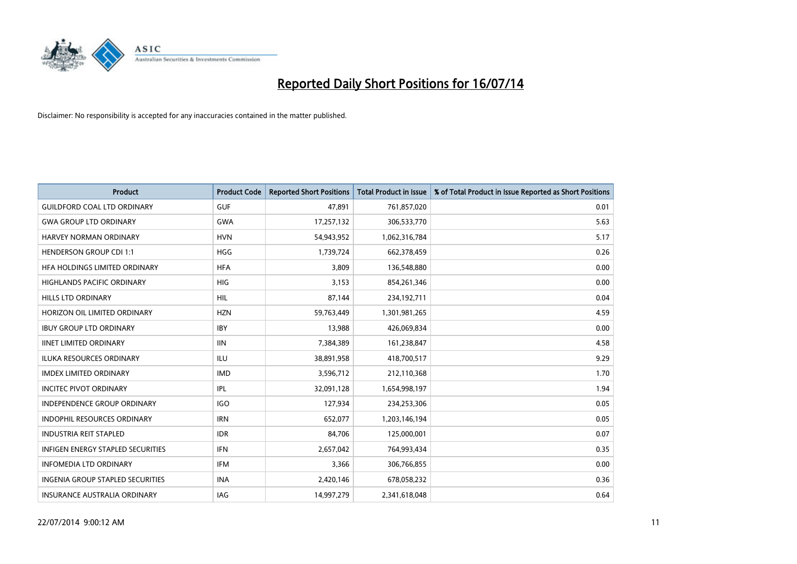

| <b>Product</b>                          | <b>Product Code</b> | <b>Reported Short Positions</b> | <b>Total Product in Issue</b> | % of Total Product in Issue Reported as Short Positions |
|-----------------------------------------|---------------------|---------------------------------|-------------------------------|---------------------------------------------------------|
| <b>GUILDFORD COAL LTD ORDINARY</b>      | <b>GUF</b>          | 47.891                          | 761,857,020                   | 0.01                                                    |
| <b>GWA GROUP LTD ORDINARY</b>           | <b>GWA</b>          | 17,257,132                      | 306,533,770                   | 5.63                                                    |
| HARVEY NORMAN ORDINARY                  | <b>HVN</b>          | 54,943,952                      | 1,062,316,784                 | 5.17                                                    |
| <b>HENDERSON GROUP CDI 1:1</b>          | <b>HGG</b>          | 1,739,724                       | 662,378,459                   | 0.26                                                    |
| HFA HOLDINGS LIMITED ORDINARY           | <b>HFA</b>          | 3,809                           | 136,548,880                   | 0.00                                                    |
| <b>HIGHLANDS PACIFIC ORDINARY</b>       | HIG                 | 3,153                           | 854,261,346                   | 0.00                                                    |
| <b>HILLS LTD ORDINARY</b>               | <b>HIL</b>          | 87,144                          | 234,192,711                   | 0.04                                                    |
| HORIZON OIL LIMITED ORDINARY            | <b>HZN</b>          | 59,763,449                      | 1,301,981,265                 | 4.59                                                    |
| <b>IBUY GROUP LTD ORDINARY</b>          | <b>IBY</b>          | 13,988                          | 426,069,834                   | 0.00                                                    |
| <b>IINET LIMITED ORDINARY</b>           | <b>IIN</b>          | 7,384,389                       | 161,238,847                   | 4.58                                                    |
| <b>ILUKA RESOURCES ORDINARY</b>         | ILU                 | 38,891,958                      | 418,700,517                   | 9.29                                                    |
| <b>IMDEX LIMITED ORDINARY</b>           | <b>IMD</b>          | 3,596,712                       | 212,110,368                   | 1.70                                                    |
| <b>INCITEC PIVOT ORDINARY</b>           | IPL                 | 32,091,128                      | 1,654,998,197                 | 1.94                                                    |
| <b>INDEPENDENCE GROUP ORDINARY</b>      | <b>IGO</b>          | 127,934                         | 234,253,306                   | 0.05                                                    |
| <b>INDOPHIL RESOURCES ORDINARY</b>      | <b>IRN</b>          | 652,077                         | 1,203,146,194                 | 0.05                                                    |
| <b>INDUSTRIA REIT STAPLED</b>           | <b>IDR</b>          | 84,706                          | 125,000,001                   | 0.07                                                    |
| INFIGEN ENERGY STAPLED SECURITIES       | <b>IFN</b>          | 2,657,042                       | 764,993,434                   | 0.35                                                    |
| <b>INFOMEDIA LTD ORDINARY</b>           | <b>IFM</b>          | 3,366                           | 306,766,855                   | 0.00                                                    |
| <b>INGENIA GROUP STAPLED SECURITIES</b> | <b>INA</b>          | 2,420,146                       | 678,058,232                   | 0.36                                                    |
| INSURANCE AUSTRALIA ORDINARY            | IAG                 | 14,997,279                      | 2,341,618,048                 | 0.64                                                    |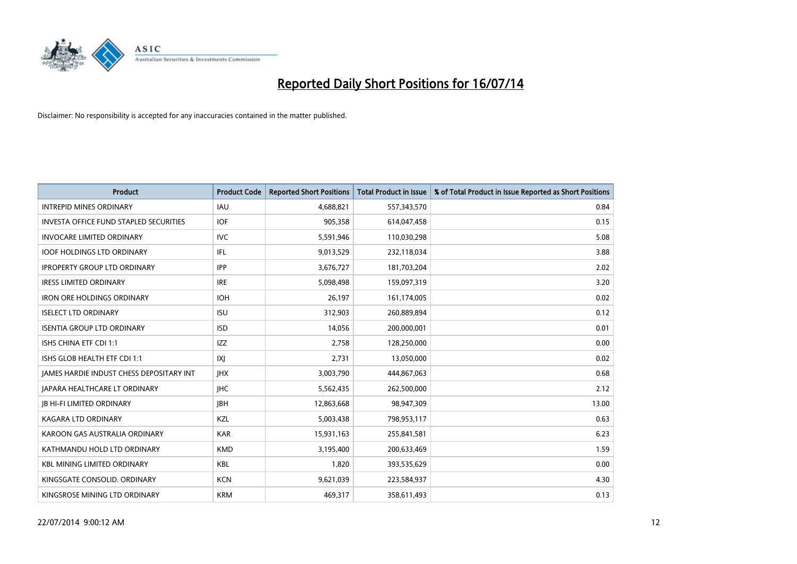

| <b>Product</b>                                | <b>Product Code</b> | <b>Reported Short Positions</b> | <b>Total Product in Issue</b> | % of Total Product in Issue Reported as Short Positions |
|-----------------------------------------------|---------------------|---------------------------------|-------------------------------|---------------------------------------------------------|
| <b>INTREPID MINES ORDINARY</b>                | IAU                 | 4,688,821                       | 557,343,570                   | 0.84                                                    |
| <b>INVESTA OFFICE FUND STAPLED SECURITIES</b> | <b>IOF</b>          | 905,358                         | 614,047,458                   | 0.15                                                    |
| <b>INVOCARE LIMITED ORDINARY</b>              | <b>IVC</b>          | 5,591,946                       | 110,030,298                   | 5.08                                                    |
| <b>IOOF HOLDINGS LTD ORDINARY</b>             | IFL                 | 9,013,529                       | 232,118,034                   | 3.88                                                    |
| <b>IPROPERTY GROUP LTD ORDINARY</b>           | <b>IPP</b>          | 3,676,727                       | 181,703,204                   | 2.02                                                    |
| <b>IRESS LIMITED ORDINARY</b>                 | <b>IRE</b>          | 5,098,498                       | 159,097,319                   | 3.20                                                    |
| <b>IRON ORE HOLDINGS ORDINARY</b>             | <b>IOH</b>          | 26.197                          | 161,174,005                   | 0.02                                                    |
| <b>ISELECT LTD ORDINARY</b>                   | <b>ISU</b>          | 312,903                         | 260,889,894                   | 0.12                                                    |
| <b>ISENTIA GROUP LTD ORDINARY</b>             | <b>ISD</b>          | 14,056                          | 200,000,001                   | 0.01                                                    |
| ISHS CHINA ETF CDI 1:1                        | IZZ                 | 2,758                           | 128,250,000                   | 0.00                                                    |
| ISHS GLOB HEALTH ETF CDI 1:1                  | X                   | 2,731                           | 13,050,000                    | 0.02                                                    |
| JAMES HARDIE INDUST CHESS DEPOSITARY INT      | <b>IHX</b>          | 3,003,790                       | 444,867,063                   | 0.68                                                    |
| <b>JAPARA HEALTHCARE LT ORDINARY</b>          | <b>IHC</b>          | 5,562,435                       | 262,500,000                   | 2.12                                                    |
| <b>IB HI-FI LIMITED ORDINARY</b>              | <b>JBH</b>          | 12,863,668                      | 98,947,309                    | 13.00                                                   |
| <b>KAGARA LTD ORDINARY</b>                    | KZL                 | 5,003,438                       | 798,953,117                   | 0.63                                                    |
| KAROON GAS AUSTRALIA ORDINARY                 | <b>KAR</b>          | 15,931,163                      | 255,841,581                   | 6.23                                                    |
| KATHMANDU HOLD LTD ORDINARY                   | <b>KMD</b>          | 3,195,400                       | 200,633,469                   | 1.59                                                    |
| <b>KBL MINING LIMITED ORDINARY</b>            | <b>KBL</b>          | 1.820                           | 393,535,629                   | 0.00                                                    |
| KINGSGATE CONSOLID. ORDINARY                  | <b>KCN</b>          | 9,621,039                       | 223,584,937                   | 4.30                                                    |
| KINGSROSE MINING LTD ORDINARY                 | <b>KRM</b>          | 469,317                         | 358,611,493                   | 0.13                                                    |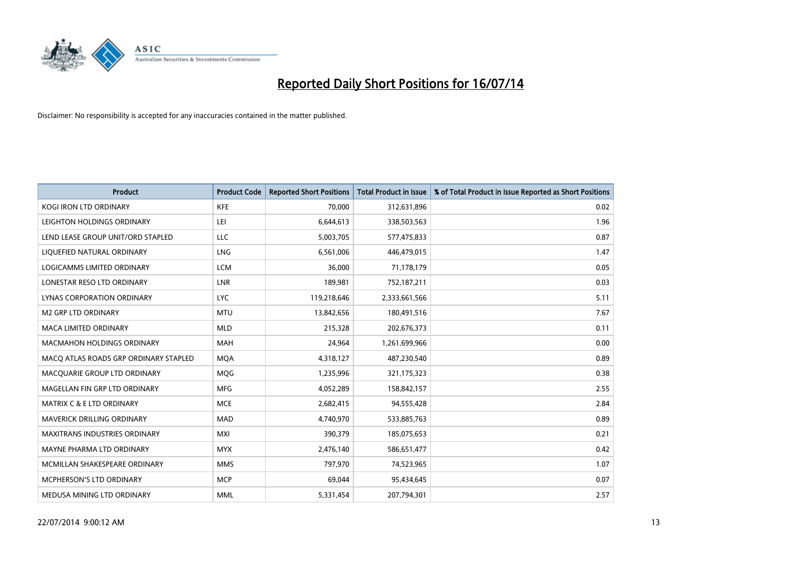

| <b>Product</b>                        | <b>Product Code</b> | <b>Reported Short Positions</b> | <b>Total Product in Issue</b> | % of Total Product in Issue Reported as Short Positions |
|---------------------------------------|---------------------|---------------------------------|-------------------------------|---------------------------------------------------------|
| <b>KOGI IRON LTD ORDINARY</b>         | <b>KFE</b>          | 70,000                          | 312,631,896                   | 0.02                                                    |
| LEIGHTON HOLDINGS ORDINARY            | LEI                 | 6,644,613                       | 338,503,563                   | 1.96                                                    |
| LEND LEASE GROUP UNIT/ORD STAPLED     | <b>LLC</b>          | 5,003,705                       | 577,475,833                   | 0.87                                                    |
| LIQUEFIED NATURAL ORDINARY            | <b>LNG</b>          | 6,561,006                       | 446,479,015                   | 1.47                                                    |
| <b>LOGICAMMS LIMITED ORDINARY</b>     | <b>LCM</b>          | 36,000                          | 71,178,179                    | 0.05                                                    |
| LONESTAR RESO LTD ORDINARY            | <b>LNR</b>          | 189,981                         | 752,187,211                   | 0.03                                                    |
| LYNAS CORPORATION ORDINARY            | <b>LYC</b>          | 119,218,646                     | 2,333,661,566                 | 5.11                                                    |
| <b>M2 GRP LTD ORDINARY</b>            | <b>MTU</b>          | 13,842,656                      | 180,491,516                   | 7.67                                                    |
| <b>MACA LIMITED ORDINARY</b>          | <b>MLD</b>          | 215,328                         | 202,676,373                   | 0.11                                                    |
| <b>MACMAHON HOLDINGS ORDINARY</b>     | <b>MAH</b>          | 24,964                          | 1,261,699,966                 | 0.00                                                    |
| MACO ATLAS ROADS GRP ORDINARY STAPLED | <b>MOA</b>          | 4,318,127                       | 487,230,540                   | 0.89                                                    |
| MACQUARIE GROUP LTD ORDINARY          | MQG                 | 1,235,996                       | 321,175,323                   | 0.38                                                    |
| MAGELLAN FIN GRP LTD ORDINARY         | <b>MFG</b>          | 4,052,289                       | 158,842,157                   | 2.55                                                    |
| <b>MATRIX C &amp; E LTD ORDINARY</b>  | <b>MCE</b>          | 2,682,415                       | 94,555,428                    | 2.84                                                    |
| MAVERICK DRILLING ORDINARY            | <b>MAD</b>          | 4,740,970                       | 533,885,763                   | 0.89                                                    |
| MAXITRANS INDUSTRIES ORDINARY         | <b>MXI</b>          | 390,379                         | 185,075,653                   | 0.21                                                    |
| MAYNE PHARMA LTD ORDINARY             | <b>MYX</b>          | 2,476,140                       | 586,651,477                   | 0.42                                                    |
| MCMILLAN SHAKESPEARE ORDINARY         | <b>MMS</b>          | 797,970                         | 74,523,965                    | 1.07                                                    |
| MCPHERSON'S LTD ORDINARY              | <b>MCP</b>          | 69,044                          | 95,434,645                    | 0.07                                                    |
| MEDUSA MINING LTD ORDINARY            | <b>MML</b>          | 5,331,454                       | 207,794,301                   | 2.57                                                    |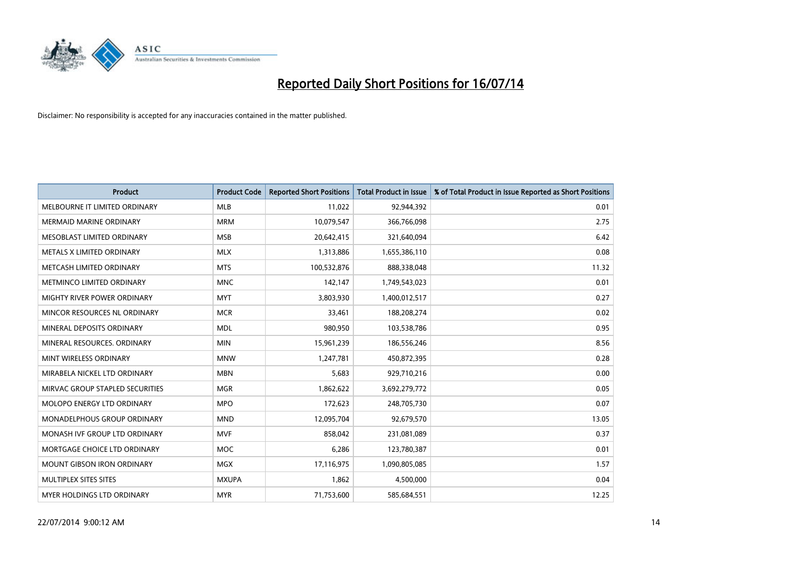

| <b>Product</b>                    | <b>Product Code</b> | <b>Reported Short Positions</b> | <b>Total Product in Issue</b> | % of Total Product in Issue Reported as Short Positions |
|-----------------------------------|---------------------|---------------------------------|-------------------------------|---------------------------------------------------------|
| MELBOURNE IT LIMITED ORDINARY     | <b>MLB</b>          | 11,022                          | 92,944,392                    | 0.01                                                    |
| <b>MERMAID MARINE ORDINARY</b>    | <b>MRM</b>          | 10,079,547                      | 366,766,098                   | 2.75                                                    |
| MESOBLAST LIMITED ORDINARY        | <b>MSB</b>          | 20,642,415                      | 321,640,094                   | 6.42                                                    |
| METALS X LIMITED ORDINARY         | <b>MLX</b>          | 1,313,886                       | 1,655,386,110                 | 0.08                                                    |
| METCASH LIMITED ORDINARY          | <b>MTS</b>          | 100,532,876                     | 888,338,048                   | 11.32                                                   |
| METMINCO LIMITED ORDINARY         | <b>MNC</b>          | 142,147                         | 1,749,543,023                 | 0.01                                                    |
| MIGHTY RIVER POWER ORDINARY       | <b>MYT</b>          | 3,803,930                       | 1,400,012,517                 | 0.27                                                    |
| MINCOR RESOURCES NL ORDINARY      | <b>MCR</b>          | 33,461                          | 188,208,274                   | 0.02                                                    |
| MINERAL DEPOSITS ORDINARY         | <b>MDL</b>          | 980,950                         | 103,538,786                   | 0.95                                                    |
| MINERAL RESOURCES, ORDINARY       | <b>MIN</b>          | 15,961,239                      | 186,556,246                   | 8.56                                                    |
| MINT WIRELESS ORDINARY            | <b>MNW</b>          | 1,247,781                       | 450,872,395                   | 0.28                                                    |
| MIRABELA NICKEL LTD ORDINARY      | <b>MBN</b>          | 5,683                           | 929,710,216                   | 0.00                                                    |
| MIRVAC GROUP STAPLED SECURITIES   | <b>MGR</b>          | 1,862,622                       | 3,692,279,772                 | 0.05                                                    |
| MOLOPO ENERGY LTD ORDINARY        | <b>MPO</b>          | 172,623                         | 248,705,730                   | 0.07                                                    |
| MONADELPHOUS GROUP ORDINARY       | <b>MND</b>          | 12,095,704                      | 92,679,570                    | 13.05                                                   |
| MONASH IVF GROUP LTD ORDINARY     | <b>MVF</b>          | 858,042                         | 231,081,089                   | 0.37                                                    |
| MORTGAGE CHOICE LTD ORDINARY      | MOC                 | 6,286                           | 123,780,387                   | 0.01                                                    |
| <b>MOUNT GIBSON IRON ORDINARY</b> | <b>MGX</b>          | 17,116,975                      | 1,090,805,085                 | 1.57                                                    |
| MULTIPLEX SITES SITES             | <b>MXUPA</b>        | 1,862                           | 4,500,000                     | 0.04                                                    |
| MYER HOLDINGS LTD ORDINARY        | <b>MYR</b>          | 71,753,600                      | 585,684,551                   | 12.25                                                   |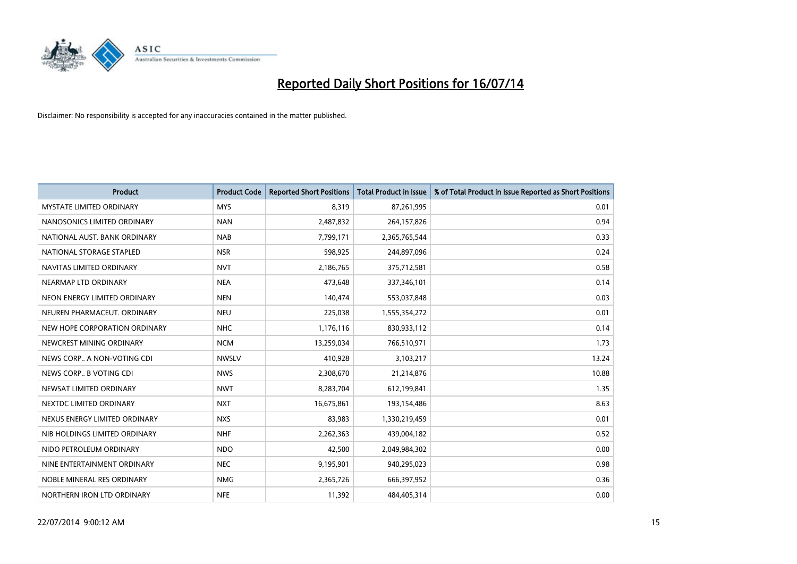

| <b>Product</b>                  | <b>Product Code</b> | <b>Reported Short Positions</b> | Total Product in Issue | % of Total Product in Issue Reported as Short Positions |
|---------------------------------|---------------------|---------------------------------|------------------------|---------------------------------------------------------|
| <b>MYSTATE LIMITED ORDINARY</b> | <b>MYS</b>          | 8,319                           | 87,261,995             | 0.01                                                    |
| NANOSONICS LIMITED ORDINARY     | <b>NAN</b>          | 2,487,832                       | 264,157,826            | 0.94                                                    |
| NATIONAL AUST, BANK ORDINARY    | <b>NAB</b>          | 7,799,171                       | 2,365,765,544          | 0.33                                                    |
| NATIONAL STORAGE STAPLED        | <b>NSR</b>          | 598,925                         | 244,897,096            | 0.24                                                    |
| NAVITAS LIMITED ORDINARY        | <b>NVT</b>          | 2,186,765                       | 375,712,581            | 0.58                                                    |
| NEARMAP LTD ORDINARY            | <b>NEA</b>          | 473,648                         | 337,346,101            | 0.14                                                    |
| NEON ENERGY LIMITED ORDINARY    | <b>NEN</b>          | 140,474                         | 553,037,848            | 0.03                                                    |
| NEUREN PHARMACEUT, ORDINARY     | <b>NEU</b>          | 225,038                         | 1,555,354,272          | 0.01                                                    |
| NEW HOPE CORPORATION ORDINARY   | <b>NHC</b>          | 1,176,116                       | 830,933,112            | 0.14                                                    |
| NEWCREST MINING ORDINARY        | <b>NCM</b>          | 13,259,034                      | 766,510,971            | 1.73                                                    |
| NEWS CORP A NON-VOTING CDI      | <b>NWSLV</b>        | 410,928                         | 3,103,217              | 13.24                                                   |
| NEWS CORP B VOTING CDI          | <b>NWS</b>          | 2,308,670                       | 21,214,876             | 10.88                                                   |
| NEWSAT LIMITED ORDINARY         | <b>NWT</b>          | 8,283,704                       | 612,199,841            | 1.35                                                    |
| NEXTDC LIMITED ORDINARY         | <b>NXT</b>          | 16,675,861                      | 193,154,486            | 8.63                                                    |
| NEXUS ENERGY LIMITED ORDINARY   | <b>NXS</b>          | 83,983                          | 1,330,219,459          | 0.01                                                    |
| NIB HOLDINGS LIMITED ORDINARY   | <b>NHF</b>          | 2,262,363                       | 439,004,182            | 0.52                                                    |
| NIDO PETROLEUM ORDINARY         | <b>NDO</b>          | 42,500                          | 2,049,984,302          | 0.00                                                    |
| NINE ENTERTAINMENT ORDINARY     | <b>NEC</b>          | 9,195,901                       | 940,295,023            | 0.98                                                    |
| NOBLE MINERAL RES ORDINARY      | <b>NMG</b>          | 2,365,726                       | 666,397,952            | 0.36                                                    |
| NORTHERN IRON LTD ORDINARY      | <b>NFE</b>          | 11,392                          | 484,405,314            | 0.00                                                    |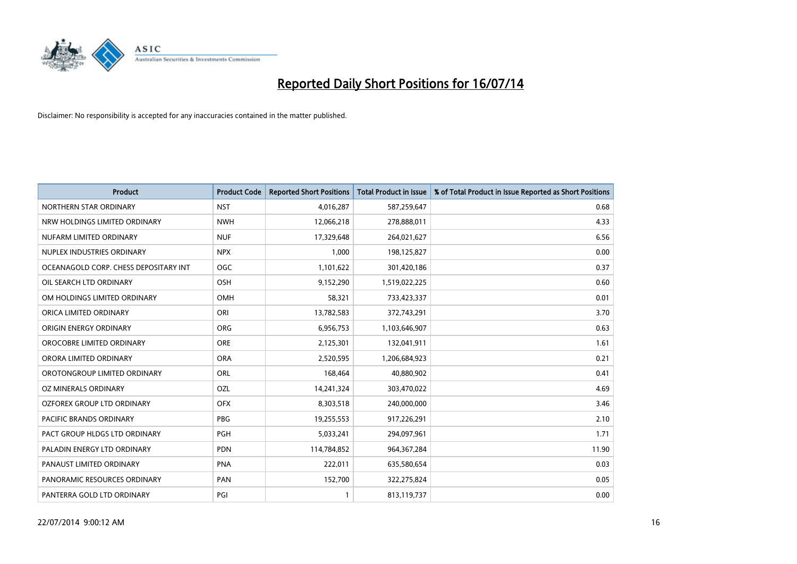

| <b>Product</b>                        | <b>Product Code</b> | <b>Reported Short Positions</b> | <b>Total Product in Issue</b> | % of Total Product in Issue Reported as Short Positions |
|---------------------------------------|---------------------|---------------------------------|-------------------------------|---------------------------------------------------------|
| NORTHERN STAR ORDINARY                | <b>NST</b>          | 4,016,287                       | 587,259,647                   | 0.68                                                    |
| NRW HOLDINGS LIMITED ORDINARY         | <b>NWH</b>          | 12,066,218                      | 278,888,011                   | 4.33                                                    |
| NUFARM LIMITED ORDINARY               | <b>NUF</b>          | 17,329,648                      | 264,021,627                   | 6.56                                                    |
| NUPLEX INDUSTRIES ORDINARY            | <b>NPX</b>          | 1,000                           | 198,125,827                   | 0.00                                                    |
| OCEANAGOLD CORP. CHESS DEPOSITARY INT | <b>OGC</b>          | 1,101,622                       | 301,420,186                   | 0.37                                                    |
| OIL SEARCH LTD ORDINARY               | OSH                 | 9,152,290                       | 1,519,022,225                 | 0.60                                                    |
| OM HOLDINGS LIMITED ORDINARY          | <b>OMH</b>          | 58,321                          | 733,423,337                   | 0.01                                                    |
| ORICA LIMITED ORDINARY                | ORI                 | 13,782,583                      | 372,743,291                   | 3.70                                                    |
| ORIGIN ENERGY ORDINARY                | <b>ORG</b>          | 6,956,753                       | 1,103,646,907                 | 0.63                                                    |
| OROCOBRE LIMITED ORDINARY             | <b>ORE</b>          | 2,125,301                       | 132,041,911                   | 1.61                                                    |
| ORORA LIMITED ORDINARY                | <b>ORA</b>          | 2,520,595                       | 1,206,684,923                 | 0.21                                                    |
| OROTONGROUP LIMITED ORDINARY          | <b>ORL</b>          | 168,464                         | 40,880,902                    | 0.41                                                    |
| OZ MINERALS ORDINARY                  | OZL                 | 14,241,324                      | 303,470,022                   | 4.69                                                    |
| OZFOREX GROUP LTD ORDINARY            | <b>OFX</b>          | 8,303,518                       | 240,000,000                   | 3.46                                                    |
| PACIFIC BRANDS ORDINARY               | <b>PBG</b>          | 19,255,553                      | 917,226,291                   | 2.10                                                    |
| PACT GROUP HLDGS LTD ORDINARY         | <b>PGH</b>          | 5,033,241                       | 294,097,961                   | 1.71                                                    |
| PALADIN ENERGY LTD ORDINARY           | <b>PDN</b>          | 114,784,852                     | 964, 367, 284                 | 11.90                                                   |
| PANAUST LIMITED ORDINARY              | <b>PNA</b>          | 222,011                         | 635,580,654                   | 0.03                                                    |
| PANORAMIC RESOURCES ORDINARY          | PAN                 | 152,700                         | 322,275,824                   | 0.05                                                    |
| PANTERRA GOLD LTD ORDINARY            | PGI                 |                                 | 813,119,737                   | 0.00                                                    |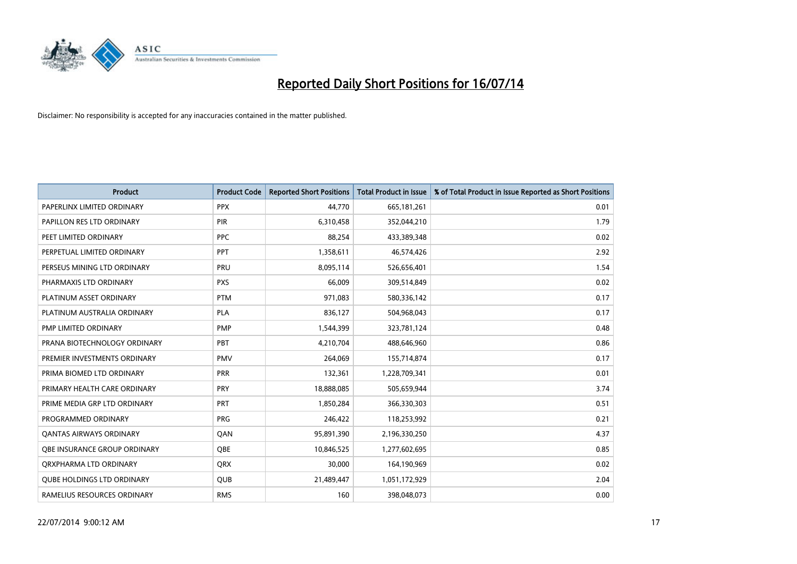

| <b>Product</b>                    | <b>Product Code</b> | <b>Reported Short Positions</b> | <b>Total Product in Issue</b> | % of Total Product in Issue Reported as Short Positions |
|-----------------------------------|---------------------|---------------------------------|-------------------------------|---------------------------------------------------------|
| PAPERLINX LIMITED ORDINARY        | <b>PPX</b>          | 44,770                          | 665, 181, 261                 | 0.01                                                    |
| PAPILLON RES LTD ORDINARY         | PIR                 | 6,310,458                       | 352,044,210                   | 1.79                                                    |
| PEET LIMITED ORDINARY             | <b>PPC</b>          | 88,254                          | 433,389,348                   | 0.02                                                    |
| PERPETUAL LIMITED ORDINARY        | PPT                 | 1,358,611                       | 46,574,426                    | 2.92                                                    |
| PERSEUS MINING LTD ORDINARY       | PRU                 | 8,095,114                       | 526,656,401                   | 1.54                                                    |
| PHARMAXIS LTD ORDINARY            | <b>PXS</b>          | 66,009                          | 309,514,849                   | 0.02                                                    |
| PLATINUM ASSET ORDINARY           | <b>PTM</b>          | 971,083                         | 580,336,142                   | 0.17                                                    |
| PLATINUM AUSTRALIA ORDINARY       | <b>PLA</b>          | 836,127                         | 504,968,043                   | 0.17                                                    |
| PMP LIMITED ORDINARY              | <b>PMP</b>          | 1,544,399                       | 323,781,124                   | 0.48                                                    |
| PRANA BIOTECHNOLOGY ORDINARY      | <b>PBT</b>          | 4,210,704                       | 488,646,960                   | 0.86                                                    |
| PREMIER INVESTMENTS ORDINARY      | <b>PMV</b>          | 264,069                         | 155,714,874                   | 0.17                                                    |
| PRIMA BIOMED LTD ORDINARY         | <b>PRR</b>          | 132,361                         | 1,228,709,341                 | 0.01                                                    |
| PRIMARY HEALTH CARE ORDINARY      | <b>PRY</b>          | 18,888,085                      | 505,659,944                   | 3.74                                                    |
| PRIME MEDIA GRP LTD ORDINARY      | <b>PRT</b>          | 1,850,284                       | 366,330,303                   | 0.51                                                    |
| PROGRAMMED ORDINARY               | <b>PRG</b>          | 246,422                         | 118,253,992                   | 0.21                                                    |
| <b>QANTAS AIRWAYS ORDINARY</b>    | QAN                 | 95,891,390                      | 2,196,330,250                 | 4.37                                                    |
| OBE INSURANCE GROUP ORDINARY      | OBE                 | 10,846,525                      | 1,277,602,695                 | 0.85                                                    |
| ORXPHARMA LTD ORDINARY            | QRX                 | 30,000                          | 164,190,969                   | 0.02                                                    |
| <b>QUBE HOLDINGS LTD ORDINARY</b> | <b>QUB</b>          | 21,489,447                      | 1,051,172,929                 | 2.04                                                    |
| RAMELIUS RESOURCES ORDINARY       | <b>RMS</b>          | 160                             | 398,048,073                   | 0.00                                                    |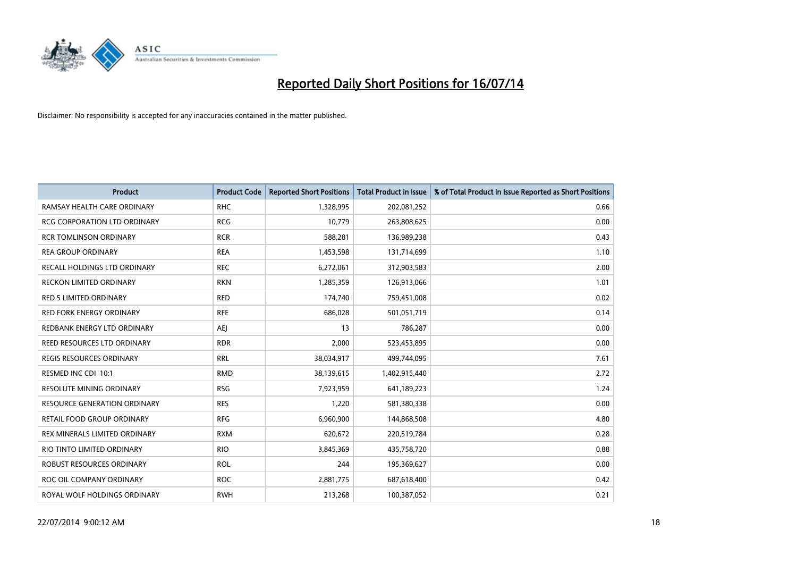

| <b>Product</b>                      | <b>Product Code</b> | <b>Reported Short Positions</b> | <b>Total Product in Issue</b> | % of Total Product in Issue Reported as Short Positions |
|-------------------------------------|---------------------|---------------------------------|-------------------------------|---------------------------------------------------------|
| RAMSAY HEALTH CARE ORDINARY         | <b>RHC</b>          | 1,328,995                       | 202,081,252                   | 0.66                                                    |
| <b>RCG CORPORATION LTD ORDINARY</b> | <b>RCG</b>          | 10,779                          | 263,808,625                   | 0.00                                                    |
| <b>RCR TOMLINSON ORDINARY</b>       | <b>RCR</b>          | 588,281                         | 136,989,238                   | 0.43                                                    |
| <b>REA GROUP ORDINARY</b>           | <b>REA</b>          | 1,453,598                       | 131,714,699                   | 1.10                                                    |
| RECALL HOLDINGS LTD ORDINARY        | <b>REC</b>          | 6,272,061                       | 312,903,583                   | 2.00                                                    |
| <b>RECKON LIMITED ORDINARY</b>      | <b>RKN</b>          | 1,285,359                       | 126,913,066                   | 1.01                                                    |
| RED 5 LIMITED ORDINARY              | <b>RED</b>          | 174,740                         | 759,451,008                   | 0.02                                                    |
| <b>RED FORK ENERGY ORDINARY</b>     | <b>RFE</b>          | 686,028                         | 501,051,719                   | 0.14                                                    |
| REDBANK ENERGY LTD ORDINARY         | AEJ                 | 13                              | 786,287                       | 0.00                                                    |
| <b>REED RESOURCES LTD ORDINARY</b>  | <b>RDR</b>          | 2,000                           | 523,453,895                   | 0.00                                                    |
| <b>REGIS RESOURCES ORDINARY</b>     | <b>RRL</b>          | 38,034,917                      | 499,744,095                   | 7.61                                                    |
| RESMED INC CDI 10:1                 | <b>RMD</b>          | 38,139,615                      | 1,402,915,440                 | 2.72                                                    |
| <b>RESOLUTE MINING ORDINARY</b>     | <b>RSG</b>          | 7,923,959                       | 641,189,223                   | 1.24                                                    |
| <b>RESOURCE GENERATION ORDINARY</b> | <b>RES</b>          | 1,220                           | 581,380,338                   | 0.00                                                    |
| <b>RETAIL FOOD GROUP ORDINARY</b>   | <b>RFG</b>          | 6,960,900                       | 144,868,508                   | 4.80                                                    |
| REX MINERALS LIMITED ORDINARY       | <b>RXM</b>          | 620,672                         | 220,519,784                   | 0.28                                                    |
| RIO TINTO LIMITED ORDINARY          | <b>RIO</b>          | 3,845,369                       | 435,758,720                   | 0.88                                                    |
| ROBUST RESOURCES ORDINARY           | <b>ROL</b>          | 244                             | 195,369,627                   | 0.00                                                    |
| ROC OIL COMPANY ORDINARY            | <b>ROC</b>          | 2,881,775                       | 687,618,400                   | 0.42                                                    |
| ROYAL WOLF HOLDINGS ORDINARY        | <b>RWH</b>          | 213,268                         | 100,387,052                   | 0.21                                                    |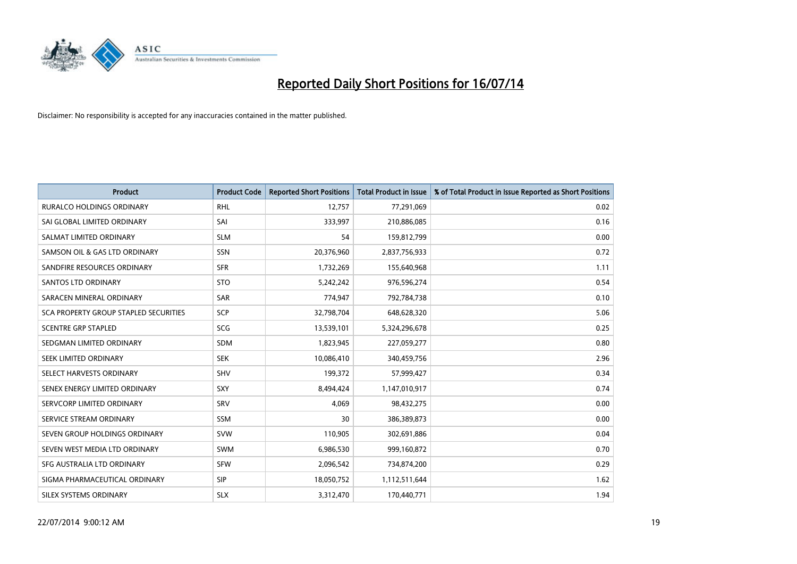

| <b>Product</b>                        | <b>Product Code</b> | <b>Reported Short Positions</b> | <b>Total Product in Issue</b> | % of Total Product in Issue Reported as Short Positions |
|---------------------------------------|---------------------|---------------------------------|-------------------------------|---------------------------------------------------------|
| RURALCO HOLDINGS ORDINARY             | <b>RHL</b>          | 12,757                          | 77,291,069                    | 0.02                                                    |
| SAI GLOBAL LIMITED ORDINARY           | SAI                 | 333,997                         | 210,886,085                   | 0.16                                                    |
| SALMAT LIMITED ORDINARY               | <b>SLM</b>          | 54                              | 159,812,799                   | 0.00                                                    |
| SAMSON OIL & GAS LTD ORDINARY         | <b>SSN</b>          | 20,376,960                      | 2,837,756,933                 | 0.72                                                    |
| SANDFIRE RESOURCES ORDINARY           | <b>SFR</b>          | 1,732,269                       | 155,640,968                   | 1.11                                                    |
| SANTOS LTD ORDINARY                   | <b>STO</b>          | 5,242,242                       | 976,596,274                   | 0.54                                                    |
| SARACEN MINERAL ORDINARY              | <b>SAR</b>          | 774,947                         | 792,784,738                   | 0.10                                                    |
| SCA PROPERTY GROUP STAPLED SECURITIES | <b>SCP</b>          | 32,798,704                      | 648,628,320                   | 5.06                                                    |
| <b>SCENTRE GRP STAPLED</b>            | <b>SCG</b>          | 13,539,101                      | 5,324,296,678                 | 0.25                                                    |
| SEDGMAN LIMITED ORDINARY              | <b>SDM</b>          | 1,823,945                       | 227,059,277                   | 0.80                                                    |
| SEEK LIMITED ORDINARY                 | <b>SEK</b>          | 10,086,410                      | 340,459,756                   | 2.96                                                    |
| SELECT HARVESTS ORDINARY              | SHV                 | 199,372                         | 57,999,427                    | 0.34                                                    |
| SENEX ENERGY LIMITED ORDINARY         | <b>SXY</b>          | 8,494,424                       | 1,147,010,917                 | 0.74                                                    |
| SERVCORP LIMITED ORDINARY             | SRV                 | 4,069                           | 98,432,275                    | 0.00                                                    |
| SERVICE STREAM ORDINARY               | <b>SSM</b>          | 30                              | 386,389,873                   | 0.00                                                    |
| SEVEN GROUP HOLDINGS ORDINARY         | <b>SVW</b>          | 110,905                         | 302,691,886                   | 0.04                                                    |
| SEVEN WEST MEDIA LTD ORDINARY         | <b>SWM</b>          | 6,986,530                       | 999,160,872                   | 0.70                                                    |
| SFG AUSTRALIA LTD ORDINARY            | <b>SFW</b>          | 2,096,542                       | 734,874,200                   | 0.29                                                    |
| SIGMA PHARMACEUTICAL ORDINARY         | <b>SIP</b>          | 18,050,752                      | 1,112,511,644                 | 1.62                                                    |
| <b>SILEX SYSTEMS ORDINARY</b>         | <b>SLX</b>          | 3,312,470                       | 170,440,771                   | 1.94                                                    |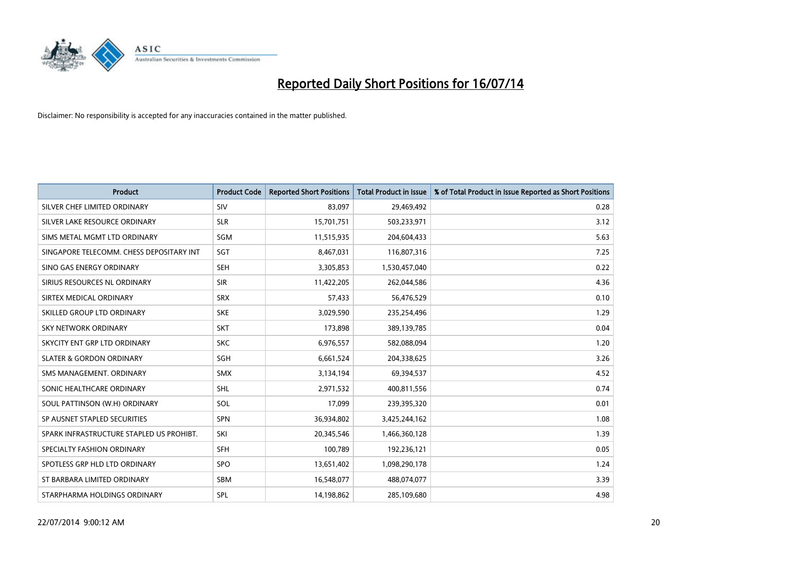

| <b>Product</b>                           | <b>Product Code</b> | <b>Reported Short Positions</b> | <b>Total Product in Issue</b> | % of Total Product in Issue Reported as Short Positions |
|------------------------------------------|---------------------|---------------------------------|-------------------------------|---------------------------------------------------------|
| SILVER CHEF LIMITED ORDINARY             | SIV                 | 83,097                          | 29,469,492                    | 0.28                                                    |
| SILVER LAKE RESOURCE ORDINARY            | <b>SLR</b>          | 15,701,751                      | 503,233,971                   | 3.12                                                    |
| SIMS METAL MGMT LTD ORDINARY             | SGM                 | 11,515,935                      | 204,604,433                   | 5.63                                                    |
| SINGAPORE TELECOMM. CHESS DEPOSITARY INT | SGT                 | 8,467,031                       | 116,807,316                   | 7.25                                                    |
| SINO GAS ENERGY ORDINARY                 | <b>SEH</b>          | 3,305,853                       | 1,530,457,040                 | 0.22                                                    |
| SIRIUS RESOURCES NL ORDINARY             | <b>SIR</b>          | 11,422,205                      | 262,044,586                   | 4.36                                                    |
| SIRTEX MEDICAL ORDINARY                  | <b>SRX</b>          | 57,433                          | 56,476,529                    | 0.10                                                    |
| SKILLED GROUP LTD ORDINARY               | <b>SKE</b>          | 3,029,590                       | 235,254,496                   | 1.29                                                    |
| <b>SKY NETWORK ORDINARY</b>              | <b>SKT</b>          | 173,898                         | 389,139,785                   | 0.04                                                    |
| SKYCITY ENT GRP LTD ORDINARY             | <b>SKC</b>          | 6,976,557                       | 582,088,094                   | 1.20                                                    |
| <b>SLATER &amp; GORDON ORDINARY</b>      | SGH                 | 6,661,524                       | 204,338,625                   | 3.26                                                    |
| SMS MANAGEMENT, ORDINARY                 | SMX                 | 3,134,194                       | 69,394,537                    | 4.52                                                    |
| SONIC HEALTHCARE ORDINARY                | <b>SHL</b>          | 2,971,532                       | 400,811,556                   | 0.74                                                    |
| SOUL PATTINSON (W.H) ORDINARY            | SOL                 | 17,099                          | 239,395,320                   | 0.01                                                    |
| SP AUSNET STAPLED SECURITIES             | SPN                 | 36,934,802                      | 3,425,244,162                 | 1.08                                                    |
| SPARK INFRASTRUCTURE STAPLED US PROHIBT. | SKI                 | 20,345,546                      | 1,466,360,128                 | 1.39                                                    |
| SPECIALTY FASHION ORDINARY               | <b>SFH</b>          | 100,789                         | 192,236,121                   | 0.05                                                    |
| SPOTLESS GRP HLD LTD ORDINARY            | <b>SPO</b>          | 13,651,402                      | 1,098,290,178                 | 1.24                                                    |
| ST BARBARA LIMITED ORDINARY              | <b>SBM</b>          | 16,548,077                      | 488,074,077                   | 3.39                                                    |
| STARPHARMA HOLDINGS ORDINARY             | SPL                 | 14,198,862                      | 285,109,680                   | 4.98                                                    |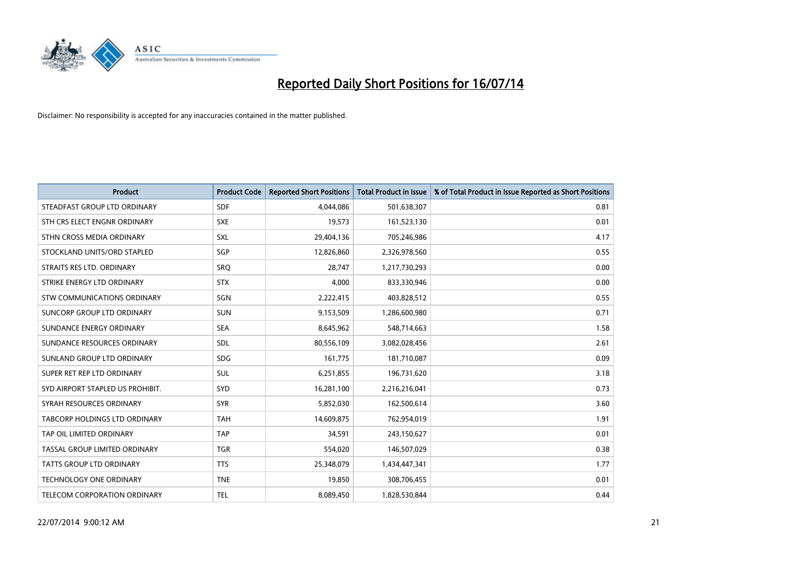

| Product                              | <b>Product Code</b> | <b>Reported Short Positions</b> | <b>Total Product in Issue</b> | % of Total Product in Issue Reported as Short Positions |
|--------------------------------------|---------------------|---------------------------------|-------------------------------|---------------------------------------------------------|
| STEADFAST GROUP LTD ORDINARY         | <b>SDF</b>          | 4,044,086                       | 501,638,307                   | 0.81                                                    |
| STH CRS ELECT ENGNR ORDINARY         | <b>SXE</b>          | 19,573                          | 161,523,130                   | 0.01                                                    |
| STHN CROSS MEDIA ORDINARY            | <b>SXL</b>          | 29,404,136                      | 705,246,986                   | 4.17                                                    |
| STOCKLAND UNITS/ORD STAPLED          | SGP                 | 12,826,860                      | 2,326,978,560                 | 0.55                                                    |
| STRAITS RES LTD. ORDINARY            | SRO                 | 28,747                          | 1,217,730,293                 | 0.00                                                    |
| STRIKE ENERGY LTD ORDINARY           | <b>STX</b>          | 4,000                           | 833,330,946                   | 0.00                                                    |
| STW COMMUNICATIONS ORDINARY          | SGN                 | 2,222,415                       | 403,828,512                   | 0.55                                                    |
| SUNCORP GROUP LTD ORDINARY           | <b>SUN</b>          | 9,153,509                       | 1,286,600,980                 | 0.71                                                    |
| SUNDANCE ENERGY ORDINARY             | <b>SEA</b>          | 8,645,962                       | 548,714,663                   | 1.58                                                    |
| SUNDANCE RESOURCES ORDINARY          | SDL                 | 80,556,109                      | 3,082,028,456                 | 2.61                                                    |
| SUNLAND GROUP LTD ORDINARY           | <b>SDG</b>          | 161,775                         | 181,710,087                   | 0.09                                                    |
| SUPER RET REP LTD ORDINARY           | SUL                 | 6,251,855                       | 196,731,620                   | 3.18                                                    |
| SYD AIRPORT STAPLED US PROHIBIT.     | <b>SYD</b>          | 16,281,100                      | 2,216,216,041                 | 0.73                                                    |
| SYRAH RESOURCES ORDINARY             | <b>SYR</b>          | 5,852,030                       | 162,500,614                   | 3.60                                                    |
| <b>TABCORP HOLDINGS LTD ORDINARY</b> | <b>TAH</b>          | 14,609,875                      | 762,954,019                   | 1.91                                                    |
| TAP OIL LIMITED ORDINARY             | <b>TAP</b>          | 34,591                          | 243,150,627                   | 0.01                                                    |
| TASSAL GROUP LIMITED ORDINARY        | <b>TGR</b>          | 554,020                         | 146,507,029                   | 0.38                                                    |
| <b>TATTS GROUP LTD ORDINARY</b>      | <b>TTS</b>          | 25,348,079                      | 1,434,447,341                 | 1.77                                                    |
| <b>TECHNOLOGY ONE ORDINARY</b>       | <b>TNE</b>          | 19,850                          | 308,706,455                   | 0.01                                                    |
| TELECOM CORPORATION ORDINARY         | <b>TEL</b>          | 8,089,450                       | 1,828,530,844                 | 0.44                                                    |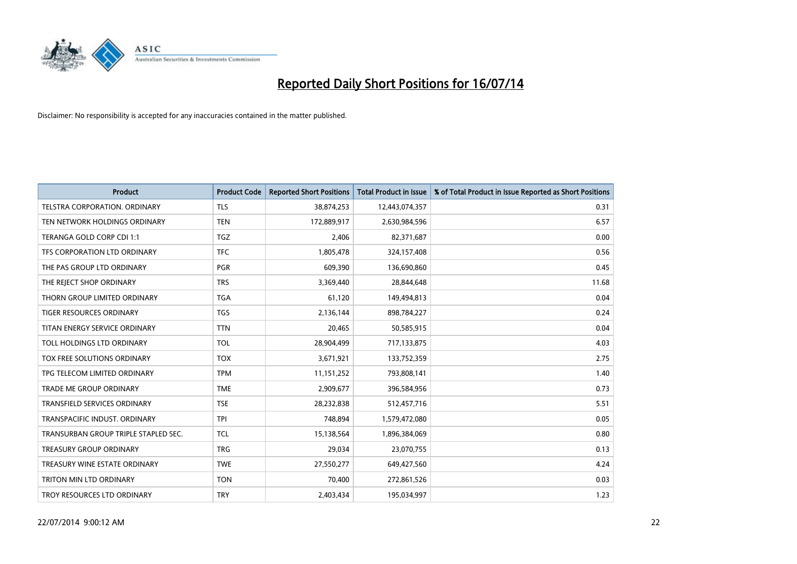

| <b>Product</b>                       | <b>Product Code</b> | <b>Reported Short Positions</b> | <b>Total Product in Issue</b> | % of Total Product in Issue Reported as Short Positions |
|--------------------------------------|---------------------|---------------------------------|-------------------------------|---------------------------------------------------------|
| <b>TELSTRA CORPORATION, ORDINARY</b> | <b>TLS</b>          | 38,874,253                      | 12,443,074,357                | 0.31                                                    |
| TEN NETWORK HOLDINGS ORDINARY        | <b>TEN</b>          | 172,889,917                     | 2,630,984,596                 | 6.57                                                    |
| TERANGA GOLD CORP CDI 1:1            | <b>TGZ</b>          | 2,406                           | 82,371,687                    | 0.00                                                    |
| TFS CORPORATION LTD ORDINARY         | <b>TFC</b>          | 1,805,478                       | 324,157,408                   | 0.56                                                    |
| THE PAS GROUP LTD ORDINARY           | PGR                 | 609,390                         | 136,690,860                   | 0.45                                                    |
| THE REJECT SHOP ORDINARY             | <b>TRS</b>          | 3,369,440                       | 28,844,648                    | 11.68                                                   |
| THORN GROUP LIMITED ORDINARY         | <b>TGA</b>          | 61,120                          | 149,494,813                   | 0.04                                                    |
| TIGER RESOURCES ORDINARY             | <b>TGS</b>          | 2,136,144                       | 898,784,227                   | 0.24                                                    |
| TITAN ENERGY SERVICE ORDINARY        | <b>TTN</b>          | 20,465                          | 50,585,915                    | 0.04                                                    |
| TOLL HOLDINGS LTD ORDINARY           | <b>TOL</b>          | 28,904,499                      | 717,133,875                   | 4.03                                                    |
| TOX FREE SOLUTIONS ORDINARY          | <b>TOX</b>          | 3,671,921                       | 133,752,359                   | 2.75                                                    |
| TPG TELECOM LIMITED ORDINARY         | <b>TPM</b>          | 11,151,252                      | 793,808,141                   | 1.40                                                    |
| TRADE ME GROUP ORDINARY              | <b>TME</b>          | 2,909,677                       | 396,584,956                   | 0.73                                                    |
| <b>TRANSFIELD SERVICES ORDINARY</b>  | <b>TSE</b>          | 28,232,838                      | 512,457,716                   | 5.51                                                    |
| TRANSPACIFIC INDUST, ORDINARY        | <b>TPI</b>          | 748,894                         | 1,579,472,080                 | 0.05                                                    |
| TRANSURBAN GROUP TRIPLE STAPLED SEC. | TCL                 | 15,138,564                      | 1,896,384,069                 | 0.80                                                    |
| <b>TREASURY GROUP ORDINARY</b>       | <b>TRG</b>          | 29,034                          | 23,070,755                    | 0.13                                                    |
| TREASURY WINE ESTATE ORDINARY        | <b>TWE</b>          | 27,550,277                      | 649,427,560                   | 4.24                                                    |
| <b>TRITON MIN LTD ORDINARY</b>       | <b>TON</b>          | 70,400                          | 272,861,526                   | 0.03                                                    |
| TROY RESOURCES LTD ORDINARY          | <b>TRY</b>          | 2,403,434                       | 195,034,997                   | 1.23                                                    |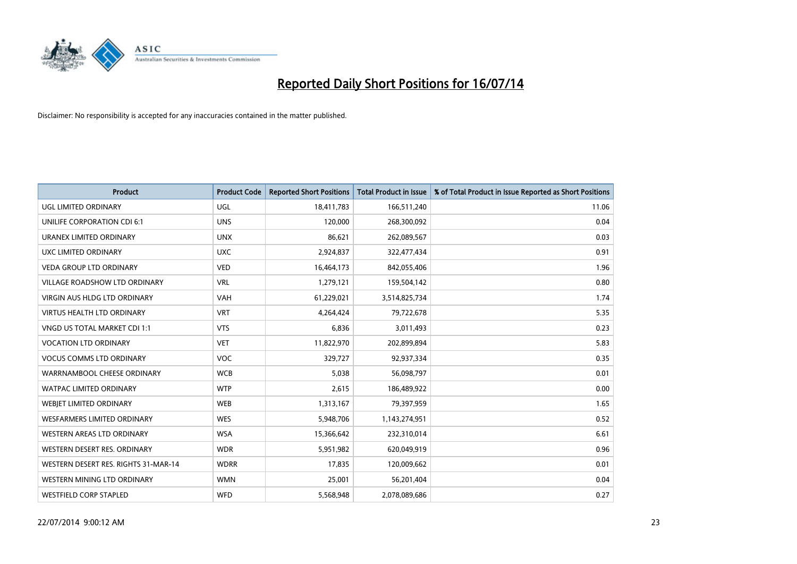

| <b>Product</b>                       | <b>Product Code</b> | <b>Reported Short Positions</b> | <b>Total Product in Issue</b> | % of Total Product in Issue Reported as Short Positions |
|--------------------------------------|---------------------|---------------------------------|-------------------------------|---------------------------------------------------------|
| <b>UGL LIMITED ORDINARY</b>          | UGL                 | 18,411,783                      | 166,511,240                   | 11.06                                                   |
| UNILIFE CORPORATION CDI 6:1          | <b>UNS</b>          | 120,000                         | 268,300,092                   | 0.04                                                    |
| URANEX LIMITED ORDINARY              | <b>UNX</b>          | 86,621                          | 262,089,567                   | 0.03                                                    |
| UXC LIMITED ORDINARY                 | <b>UXC</b>          | 2,924,837                       | 322,477,434                   | 0.91                                                    |
| <b>VEDA GROUP LTD ORDINARY</b>       | <b>VED</b>          | 16,464,173                      | 842,055,406                   | 1.96                                                    |
| <b>VILLAGE ROADSHOW LTD ORDINARY</b> | <b>VRL</b>          | 1,279,121                       | 159,504,142                   | 0.80                                                    |
| VIRGIN AUS HLDG LTD ORDINARY         | <b>VAH</b>          | 61,229,021                      | 3,514,825,734                 | 1.74                                                    |
| VIRTUS HEALTH LTD ORDINARY           | <b>VRT</b>          | 4,264,424                       | 79,722,678                    | 5.35                                                    |
| VNGD US TOTAL MARKET CDI 1:1         | <b>VTS</b>          | 6,836                           | 3,011,493                     | 0.23                                                    |
| <b>VOCATION LTD ORDINARY</b>         | <b>VET</b>          | 11,822,970                      | 202,899,894                   | 5.83                                                    |
| <b>VOCUS COMMS LTD ORDINARY</b>      | <b>VOC</b>          | 329,727                         | 92,937,334                    | 0.35                                                    |
| WARRNAMBOOL CHEESE ORDINARY          | <b>WCB</b>          | 5,038                           | 56,098,797                    | 0.01                                                    |
| <b>WATPAC LIMITED ORDINARY</b>       | <b>WTP</b>          | 2,615                           | 186,489,922                   | 0.00                                                    |
| WEBIET LIMITED ORDINARY              | <b>WEB</b>          | 1,313,167                       | 79,397,959                    | 1.65                                                    |
| WESFARMERS LIMITED ORDINARY          | <b>WES</b>          | 5,948,706                       | 1,143,274,951                 | 0.52                                                    |
| WESTERN AREAS LTD ORDINARY           | <b>WSA</b>          | 15,366,642                      | 232,310,014                   | 6.61                                                    |
| WESTERN DESERT RES. ORDINARY         | <b>WDR</b>          | 5,951,982                       | 620,049,919                   | 0.96                                                    |
| WESTERN DESERT RES. RIGHTS 31-MAR-14 | <b>WDRR</b>         | 17,835                          | 120,009,662                   | 0.01                                                    |
| WESTERN MINING LTD ORDINARY          | <b>WMN</b>          | 25,001                          | 56,201,404                    | 0.04                                                    |
| <b>WESTFIELD CORP STAPLED</b>        | WFD                 | 5,568,948                       | 2,078,089,686                 | 0.27                                                    |